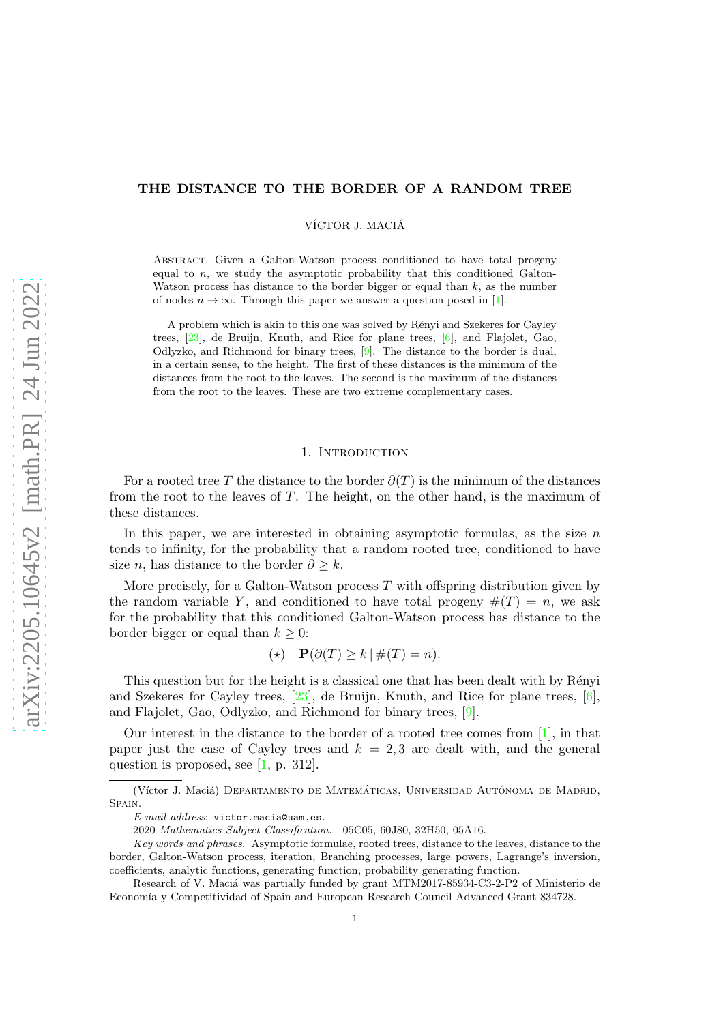# THE DISTANCE TO THE BORDER OF A RANDOM TREE

VÍCTOR J. MACIÁ

Abstract. Given a Galton-Watson process conditioned to have total progeny equal to  $n$ , we study the asymptotic probability that this conditioned Galton-Watson process has distance to the border bigger or equal than  $k$ , as the number of nodes  $n \to \infty$ . Through this paper we answer a question posed in [\[1\]](#page-27-0).

A problem which is akin to this one was solved by Rényi and Szekeres for Cayley trees, [\[23\]](#page-27-1), de Bruijn, Knuth, and Rice for plane trees, [6], and Flajolet, Gao, Odlyzko, and Richmond for binary trees, [\[9\]](#page-27-2). The distance to the border is dual, in a certain sense, to the height. The first of these distances is the minimum of the distances from the root to the leaves. The second is the maximum of the distances from the root to the leaves. These are two extreme complementary cases.

# 1. INTRODUCTION

For a rooted tree T the distance to the border  $\partial(T)$  is the minimum of the distances from the root to the leaves of  $T$ . The height, on the other hand, is the maximum of these distances.

In this paper, we are interested in obtaining asymptotic formulas, as the size  $n$ tends to infinity, for the probability that a random rooted tree, conditioned to have size *n*, has distance to the border  $\partial \geq k$ .

More precisely, for a Galton-Watson process  $T$  with offspring distribution given by the random variable Y, and conditioned to have total progeny  $\#(T) = n$ , we ask for the probability that this conditioned Galton-Watson process has distance to the border bigger or equal than  $k \geq 0$ :

$$
(\star) \quad \mathbf{P}(\partial(T) \ge k \mid \#(T) = n).
$$

This question but for the height is a classical one that has been dealt with by Rényi and Szekeres for Cayley trees, [\[23\]](#page-27-1), de Bruijn, Knuth, and Rice for plane trees, [6], and Flajolet, Gao, Odlyzko, and Richmond for binary trees, [\[9\]](#page-27-2).

Our interest in the distance to the border of a rooted tree comes from [\[1\]](#page-27-0), in that paper just the case of Cayley trees and  $k = 2, 3$  are dealt with, and the general question is proposed, see [\[1,](#page-27-0) p. 312].

<sup>(</sup>Víctor J. Maciá) DEPARTAMENTO DE MATEMÁTICAS, UNIVERSIDAD AUTÓNOMA DE MADRID, SPAIN.

*E-mail address*: victor.macia@uam.es.

<sup>2020</sup> *Mathematics Subject Classification.* 05C05, 60J80, 32H50, 05A16.

*Key words and phrases.* Asymptotic formulae, rooted trees, distance to the leaves, distance to the border, Galton-Watson process, iteration, Branching processes, large powers, Lagrange's inversion, coefficients, analytic functions, generating function, probability generating function.

Research of V. Maciá was partially funded by grant MTM2017-85934-C3-2-P2 of Ministerio de Economía y Competitividad of Spain and European Research Council Advanced Grant 834728.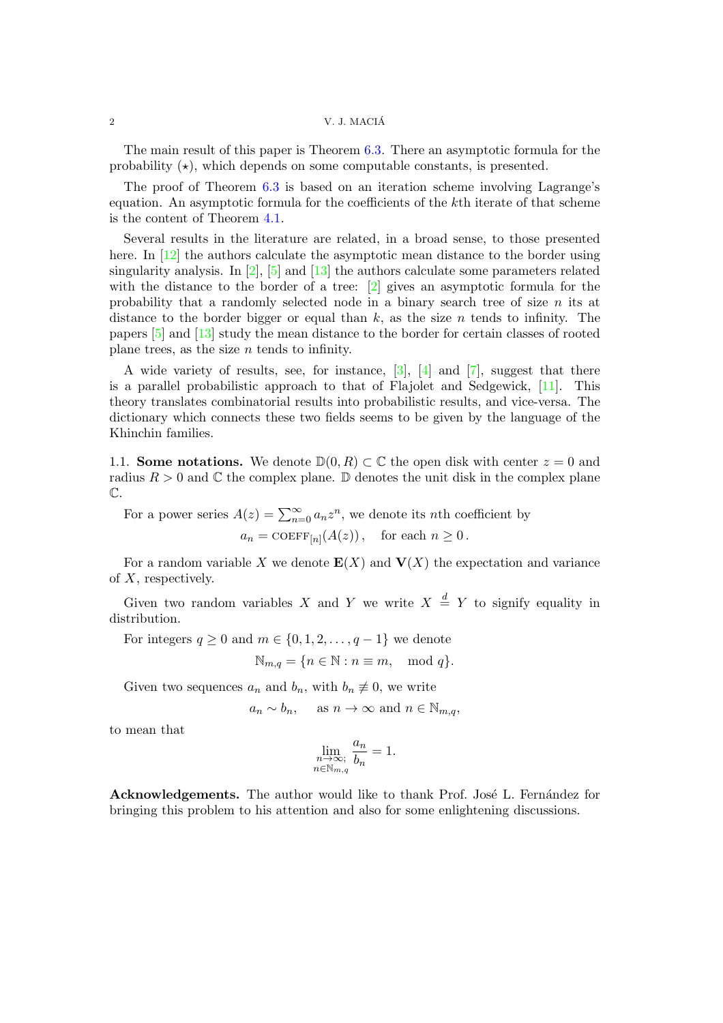#### 2 V. J. MACIA´

The main result of this paper is Theorem [6.3.](#page-21-0) There an asymptotic formula for the probability  $(\star)$ , which depends on some computable constants, is presented.

The proof of Theorem [6.3](#page-21-0) is based on an iteration scheme involving Lagrange's equation. An asymptotic formula for the coefficients of the kth iterate of that scheme is the content of Theorem [4.1.](#page-8-0)

Several results in the literature are related, in a broad sense, to those presented here. In [\[12\]](#page-27-3) the authors calculate the asymptotic mean distance to the border using singularity analysis. In  $[2]$ ,  $[5]$  and  $[13]$  the authors calculate some parameters related with the distance to the border of a tree: [\[2\]](#page-27-4) gives an asymptotic formula for the probability that a randomly selected node in a binary search tree of size  $n$  its at distance to the border bigger or equal than  $k$ , as the size n tends to infinity. The papers [\[5\]](#page-27-5) and [\[13\]](#page-27-6) study the mean distance to the border for certain classes of rooted plane trees, as the size  $n$  tends to infinity.

A wide variety of results, see, for instance,  $[3]$ ,  $[4]$  and  $[7]$ , suggest that there is a parallel probabilistic approach to that of Flajolet and Sedgewick, [\[11\]](#page-27-10). This theory translates combinatorial results into probabilistic results, and vice-versa. The dictionary which connects these two fields seems to be given by the language of the Khinchin families.

1.1. Some notations. We denote  $\mathbb{D}(0, R) \subset \mathbb{C}$  the open disk with center  $z = 0$  and radius  $R > 0$  and  $\mathbb C$  the complex plane.  $\mathbb D$  denotes the unit disk in the complex plane  $\mathbb{C}.$ 

For a power series  $A(z) = \sum_{n=0}^{\infty} a_n z^n$ , we denote its *n*th coefficient by  $a_n = \text{COEFF}_{[n]}(A(z)), \text{ for each } n \geq 0.$ 

For a random variable X we denote  $E(X)$  and  $V(X)$  the expectation and variance of X, respectively.

Given two random variables X and Y we write  $X \stackrel{d}{=} Y$  to signify equality in distribution.

For integers  $q \geq 0$  and  $m \in \{0, 1, 2, \ldots, q - 1\}$  we denote

$$
\mathbb{N}_{m,q}=\{n\in\mathbb{N}:n\equiv m,\mod q\}.
$$

Given two sequences  $a_n$  and  $b_n$ , with  $b_n \not\equiv 0$ , we write

$$
a_n \sim b_n
$$
, as  $n \to \infty$  and  $n \in \mathbb{N}_{m,q}$ ,

to mean that

$$
\lim_{\substack{n \to \infty; \\ n \in \mathbb{N}_{m,q}}} \frac{a_n}{b_n} = 1.
$$

Acknowledgements. The author would like to thank Prof. José L. Fernández for bringing this problem to his attention and also for some enlightening discussions.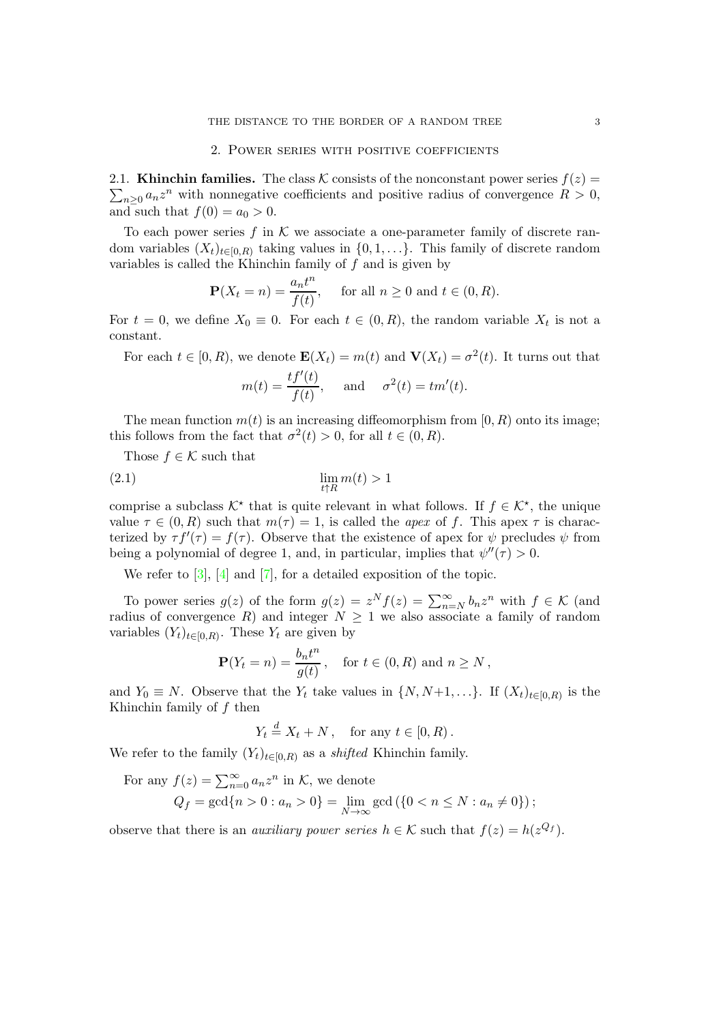#### 2. Power series with positive coefficients

 $\sum_{n\geq 0} a_n z^n$  with nonnegative coefficients and positive radius of convergence  $R > 0$ , 2.1. Khinchin families. The class K consists of the nonconstant power series  $f(z) =$ and such that  $f(0) = a_0 > 0$ .

To each power series f in  $K$  we associate a one-parameter family of discrete random variables  $(X_t)_{t\in[0,R)}$  taking values in  $\{0,1,\ldots\}$ . This family of discrete random variables is called the Khinchin family of  $f$  and is given by

$$
\mathbf{P}(X_t = n) = \frac{a_n t^n}{f(t)}, \quad \text{ for all } n \ge 0 \text{ and } t \in (0, R).
$$

For  $t = 0$ , we define  $X_0 \equiv 0$ . For each  $t \in (0, R)$ , the random variable  $X_t$  is not a constant.

For each  $t \in [0, R)$ , we denote  $\mathbf{E}(X_t) = m(t)$  and  $\mathbf{V}(X_t) = \sigma^2(t)$ . It turns out that

$$
m(t) = \frac{tf'(t)}{f(t)},
$$
 and  $\sigma^2(t) = tm'(t).$ 

The mean function  $m(t)$  is an increasing diffeomorphism from [0, R] onto its image; this follows from the fact that  $\sigma^2(t) > 0$ , for all  $t \in (0, R)$ .

Those  $f \in \mathcal{K}$  such that

$$
\lim_{t \uparrow R} m(t) > 1
$$

comprise a subclass  $K^*$  that is quite relevant in what follows. If  $f \in K^*$ , the unique value  $\tau \in (0, R)$  such that  $m(\tau) = 1$ , is called the *apex* of f. This apex  $\tau$  is characterized by  $\tau f'(\tau) = f(\tau)$ . Observe that the existence of apex for  $\psi$  precludes  $\psi$  from being a polynomial of degree 1, and, in particular, implies that  $\psi''(\tau) > 0$ .

We refer to  $\begin{bmatrix} 3 \end{bmatrix}$ ,  $\begin{bmatrix} 4 \end{bmatrix}$  and  $\begin{bmatrix} 7 \end{bmatrix}$ , for a detailed exposition of the topic.

To power series  $g(z)$  of the form  $g(z) = z^N f(z) = \sum_{n=N}^{\infty} b_n z^n$  with  $f \in \mathcal{K}$  (and radius of convergence R) and integer  $N \geq 1$  we also associate a family of random variables  $(Y_t)_{t\in[0,R)}$ . These  $Y_t$  are given by

$$
\mathbf{P}(Y_t = n) = \frac{b_n t^n}{g(t)}, \quad \text{for } t \in (0, R) \text{ and } n \ge N,
$$

and  $Y_0 \equiv N$ . Observe that the  $Y_t$  take values in  $\{N, N+1, \ldots\}$ . If  $(X_t)_{t \in [0,R)}$  is the Khinchin family of  $f$  then

$$
Y_t \stackrel{d}{=} X_t + N \,, \quad \text{for any } t \in [0, R) \,.
$$

We refer to the family  $(Y_t)_{t\in[0,R)}$  as a *shifted* Khinchin family.

For any 
$$
f(z) = \sum_{n=0}^{\infty} a_n z^n
$$
 in K, we denote  
\n
$$
Q_f = \gcd\{n > 0 : a_n > 0\} = \lim_{N \to \infty} \gcd\left(\{0 < n \le N : a_n \ne 0\}\right);
$$

observe that there is an *auxiliary power series*  $h \in \mathcal{K}$  such that  $f(z) = h(z^{Q_f})$ .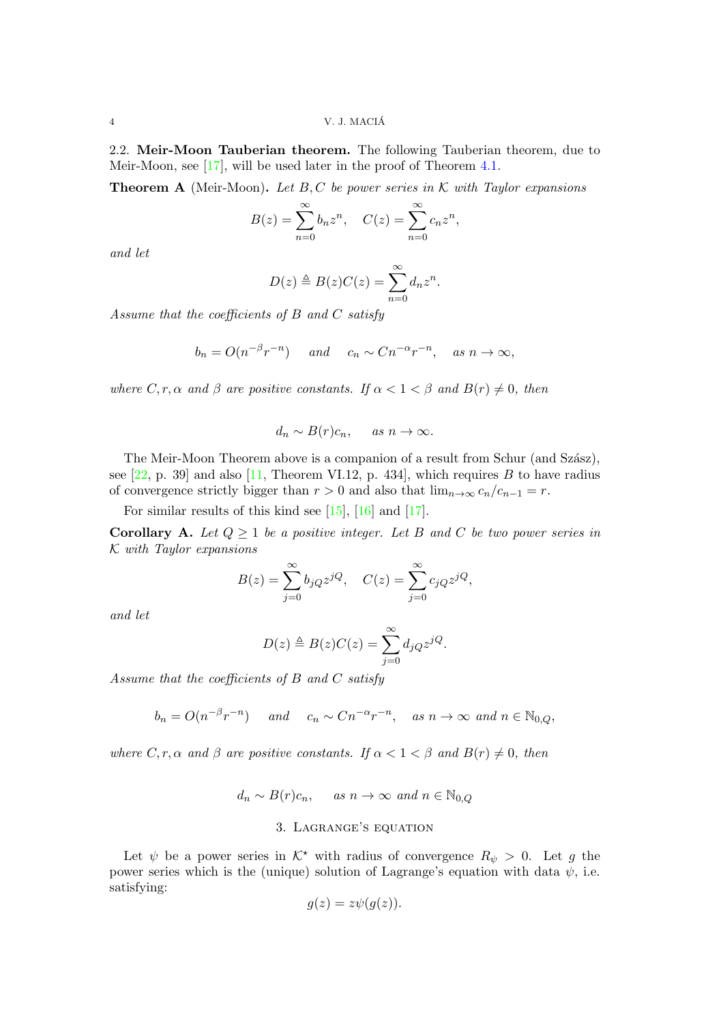2.2. Meir-Moon Tauberian theorem. The following Tauberian theorem, due to Meir-Moon, see [\[17\]](#page-27-11), will be used later in the proof of Theorem [4.1.](#page-8-0)

**Theorem A** (Meir-Moon). Let B, C be power series in K with Taylor expansions

$$
B(z) = \sum_{n=0}^{\infty} b_n z^n
$$
,  $C(z) = \sum_{n=0}^{\infty} c_n z^n$ ,

and let

$$
D(z) \triangleq B(z)C(z) = \sum_{n=0}^{\infty} d_n z^n.
$$

Assume that the coefficients of B and C satisfy

$$
b_n = O(n^{-\beta}r^{-n})
$$
 and  $c_n \sim Cn^{-\alpha}r^{-n}$ , as  $n \to \infty$ ,

where  $C, r, \alpha$  and  $\beta$  are positive constants. If  $\alpha < 1 < \beta$  and  $B(r) \neq 0$ , then

$$
d_n \sim B(r)c_n, \quad \text{as } n \to \infty.
$$

The Meir-Moon Theorem above is a companion of a result from Schur (and Szász), see  $[22, p. 39]$  and also  $[11,$  Theorem VI.12, p. 434, which requires B to have radius of convergence strictly bigger than  $r > 0$  and also that  $\lim_{n \to \infty} c_n/c_{n-1} = r$ .

For similar results of this kind see [\[15\]](#page-27-13), [\[16\]](#page-27-14) and [\[17\]](#page-27-11).

<span id="page-3-1"></span>**Corollary A.** Let  $Q \geq 1$  be a positive integer. Let B and C be two power series in K with Taylor expansions

$$
B(z) = \sum_{j=0}^{\infty} b_j Q z^{jQ}, \quad C(z) = \sum_{j=0}^{\infty} c_j Q z^{jQ},
$$

and let

$$
D(z) \triangleq B(z)C(z) = \sum_{j=0}^{\infty} d_j Q z^{jQ}.
$$

Assume that the coefficients of B and C satisfy

$$
b_n = O(n^{-\beta}r^{-n})
$$
 and  $c_n \sim C n^{-\alpha}r^{-n}$ , as  $n \to \infty$  and  $n \in \mathbb{N}_{0,Q}$ ,

where C, r,  $\alpha$  and  $\beta$  are positive constants. If  $\alpha < 1 < \beta$  and  $B(r) \neq 0$ , then

$$
d_n \sim B(r)c_n
$$
, as  $n \to \infty$  and  $n \in \mathbb{N}_{0,Q}$ 

## 3. Lagrange's equation

<span id="page-3-0"></span>Let  $\psi$  be a power series in  $K^*$  with radius of convergence  $R_{\psi} > 0$ . Let g the power series which is the (unique) solution of Lagrange's equation with data  $\psi$ , i.e. satisfying:

$$
g(z) = z\psi(g(z)).
$$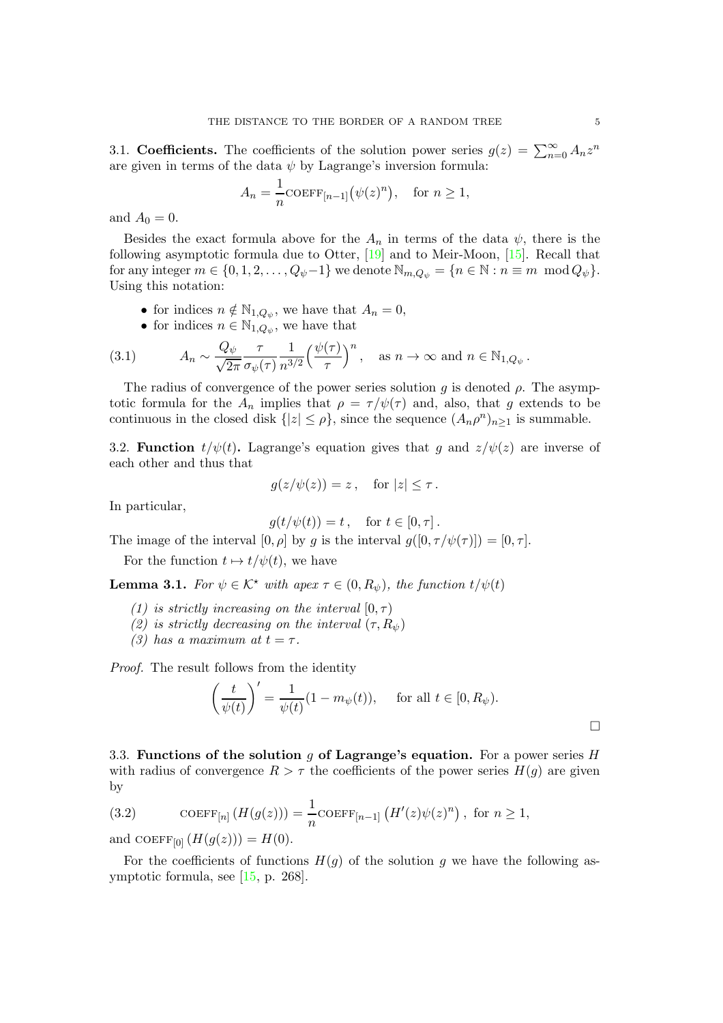3.1. Coefficients. The coefficients of the solution power series  $g(z) = \sum_{n=0}^{\infty} A_n z^n$ are given in terms of the data  $\psi$  by Lagrange's inversion formula:

$$
A_n = \frac{1}{n} \text{COEFF}_{[n-1]}(\psi(z)^n), \quad \text{for } n \ge 1,
$$

and  $A_0 = 0$ .

Besides the exact formula above for the  $A_n$  in terms of the data  $\psi$ , there is the following asymptotic formula due to Otter, [\[19\]](#page-27-15) and to Meir-Moon, [\[15\]](#page-27-13). Recall that for any integer  $m \in \{0, 1, 2, \ldots, Q_{\psi}-1\}$  we denote  $\mathbb{N}_{m,Q_{\psi}} = \{n \in \mathbb{N} : n \equiv m \mod Q_{\psi}\}.$ Using this notation:

- for indices  $n \notin \mathbb{N}_{1,Q_{\psi}}$ , we have that  $A_n = 0$ ,
- <span id="page-4-1"></span>• for indices  $n \in \mathbb{N}_{1,Q_{\psi}}$ , we have that

(3.1) 
$$
A_n \sim \frac{Q_{\psi}}{\sqrt{2\pi}} \frac{\tau}{\sigma_{\psi}(\tau)} \frac{1}{n^{3/2}} \left(\frac{\psi(\tau)}{\tau}\right)^n, \text{ as } n \to \infty \text{ and } n \in \mathbb{N}_{1, Q_{\psi}}.
$$

The radius of convergence of the power series solution g is denoted  $\rho$ . The asymptotic formula for the  $A_n$  implies that  $\rho = \tau / \psi(\tau)$  and, also, that g extends to be continuous in the closed disk  $\{|z| \leq \rho\}$ , since the sequence  $(A_n \rho^n)_{n \geq 1}$  is summable.

3.2. **Function**  $t/\psi(t)$ . Lagrange's equation gives that g and  $z/\psi(z)$  are inverse of each other and thus that

$$
g(z/\psi(z)) = z, \quad \text{for } |z| \le \tau.
$$

In particular,

$$
g(t/\psi(t)) = t, \quad \text{for } t \in [0, \tau].
$$

The image of the interval  $[0, \rho]$  by g is the interval  $g([0, \tau/\psi(\tau))] = [0, \tau]$ .

For the function  $t \mapsto t/\psi(t)$ , we have

<span id="page-4-2"></span>**Lemma 3.1.** For  $\psi \in \mathcal{K}^*$  with apex  $\tau \in (0, R_{\psi})$ , the function  $t/\psi(t)$ 

- (1) is strictly increasing on the interval  $[0, \tau)$
- (2) is strictly decreasing on the interval  $(\tau, R_{\psi})$
- (3) has a maximum at  $t = \tau$ .

Proof. The result follows from the identity

$$
\left(\frac{t}{\psi(t)}\right)' = \frac{1}{\psi(t)}(1 - m_{\psi}(t)), \quad \text{for all } t \in [0, R_{\psi}).
$$

3.3. Functions of the solution g of Lagrange's equation. For a power series  $H$ with radius of convergence  $R > \tau$  the coefficients of the power series  $H(q)$  are given by

<span id="page-4-0"></span>(3.2) COEFF<sub>[n]</sub> 
$$
(H(g(z))) = \frac{1}{n}
$$
COEFF<sub>[n-1]</sub>  $(H'(z)\psi(z)^n)$ , for  $n \ge 1$ ,

and COEFF[0]  $(H(g(z))) = H(0)$ .

For the coefficients of functions  $H(q)$  of the solution g we have the following asymptotic formula, see [\[15,](#page-27-13) p. 268].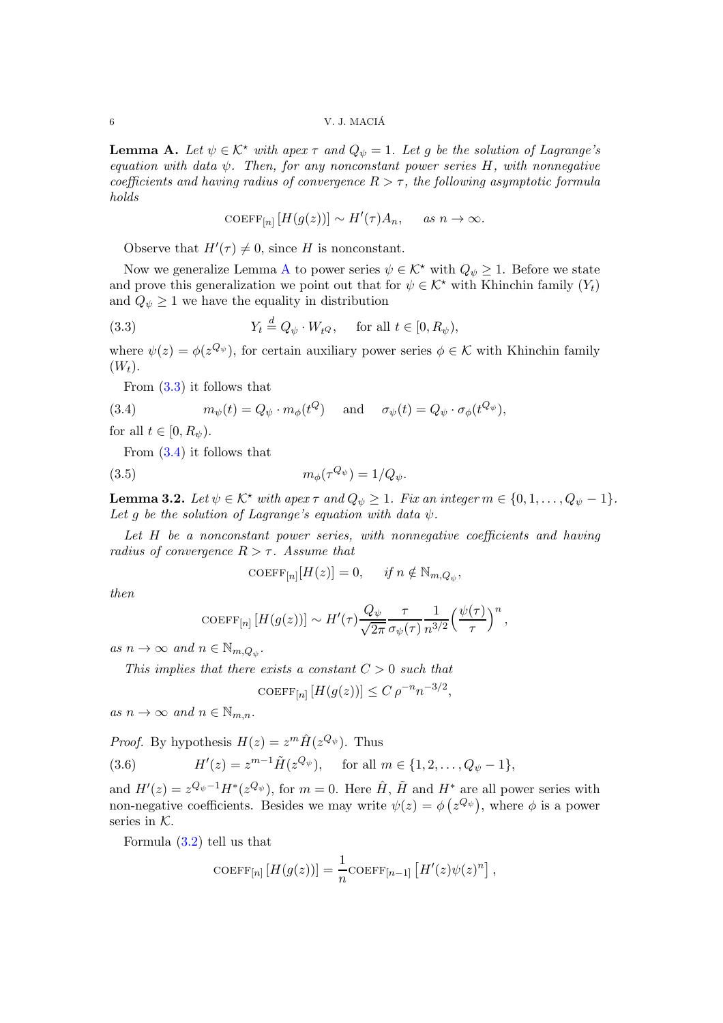6 V. J. MACIA´

<span id="page-5-0"></span>**Lemma A.** Let  $\psi \in \mathcal{K}^*$  with apex  $\tau$  and  $Q_{\psi} = 1$ . Let g be the solution of Lagrange's equation with data  $\psi$ . Then, for any nonconstant power series H, with nonnegative coefficients and having radius of convergence  $R > \tau$ , the following asymptotic formula holds

$$
COEFF_{[n]} [H(g(z))] \sim H'(\tau)A_n, \quad \text{as } n \to \infty.
$$

Observe that  $H'(\tau) \neq 0$ , since H is nonconstant.

Now we generalize Lemma [A](#page-5-0) to power series  $\psi \in \mathcal{K}^*$  with  $Q_{\psi} \geq 1$ . Before we state and prove this generalization we point out that for  $\psi \in \mathcal{K}^*$  with Khinchin family  $(Y_t)$ and  $Q_{\psi} \geq 1$  we have the equality in distribution

<span id="page-5-1"></span>(3.3) 
$$
Y_t \stackrel{d}{=} Q_{\psi} \cdot W_t Q, \quad \text{for all } t \in [0, R_{\psi}),
$$

where  $\psi(z) = \phi(z^{Q_{\psi}})$ , for certain auxiliary power series  $\phi \in \mathcal{K}$  with Khinchin family  $(W_t)$ .

From [\(3.3\)](#page-5-1) it follows that

<span id="page-5-2"></span>(3.4) 
$$
m_{\psi}(t) = Q_{\psi} \cdot m_{\phi}(t^{Q}) \quad \text{and} \quad \sigma_{\psi}(t) = Q_{\psi} \cdot \sigma_{\phi}(t^{Q_{\psi}}),
$$

for all  $t \in [0, R_{\psi}).$ 

From [\(3.4\)](#page-5-2) it follows that

<span id="page-5-4"></span>
$$
(3.5) \t\t m_{\phi}(\tau^{Q_{\psi}}) = 1/Q_{\psi}.
$$

<span id="page-5-5"></span>**Lemma 3.2.** Let  $\psi \in \mathcal{K}^*$  with apex  $\tau$  and  $Q_{\psi} \geq 1$ . Fix an integer  $m \in \{0, 1, \ldots, Q_{\psi} - 1\}$ . Let q be the solution of Lagrange's equation with data  $\psi$ .

Let H be a nonconstant power series, with nonnegative coefficients and having radius of convergence  $R > \tau$ . Assume that

$$
\mathrm{COEFF}_{[n]}[H(z)] = 0, \quad \text{if } n \notin \mathbb{N}_{m,Q_{\psi}},
$$

then

$$
\text{COEFF}_{[n]}[H(g(z))] \sim H'(\tau) \frac{Q_{\psi}}{\sqrt{2\pi}} \frac{\tau}{\sigma_{\psi}(\tau)} \frac{1}{n^{3/2}} \left(\frac{\psi(\tau)}{\tau}\right)^n,
$$

as  $n \to \infty$  and  $n \in \mathbb{N}_{m,Q_{\psi}}$ .

This implies that there exists a constant  $C > 0$  such that

$$
COEFF_{[n]} [H(g(z))] \le C \rho^{-n} n^{-3/2},
$$

as  $n \to \infty$  and  $n \in \mathbb{N}_{m,n}$ .

*Proof.* By hypothesis  $H(z) = z^m \hat{H}(z^{Q_{\psi}})$ . Thus

<span id="page-5-3"></span>(3.6) 
$$
H'(z) = z^{m-1} \tilde{H}(z^{Q_{\psi}}), \text{ for all } m \in \{1, 2, ..., Q_{\psi} - 1\},
$$

and  $H'(z) = z^{Q_{\psi}-1}H^*(z^{Q_{\psi}})$ , for  $m = 0$ . Here  $\hat{H}$ ,  $\tilde{H}$  and  $H^*$  are all power series with non-negative coefficients. Besides we may write  $\psi(z) = \phi(z^{Q_{\psi}})$ , where  $\phi$  is a power series in  $K$ .

Formula [\(3.2\)](#page-4-0) tell us that

$$
COEFF_{[n]} [H(g(z))] = \frac{1}{n} COEFF_{[n-1]} [H'(z)\psi(z)^n],
$$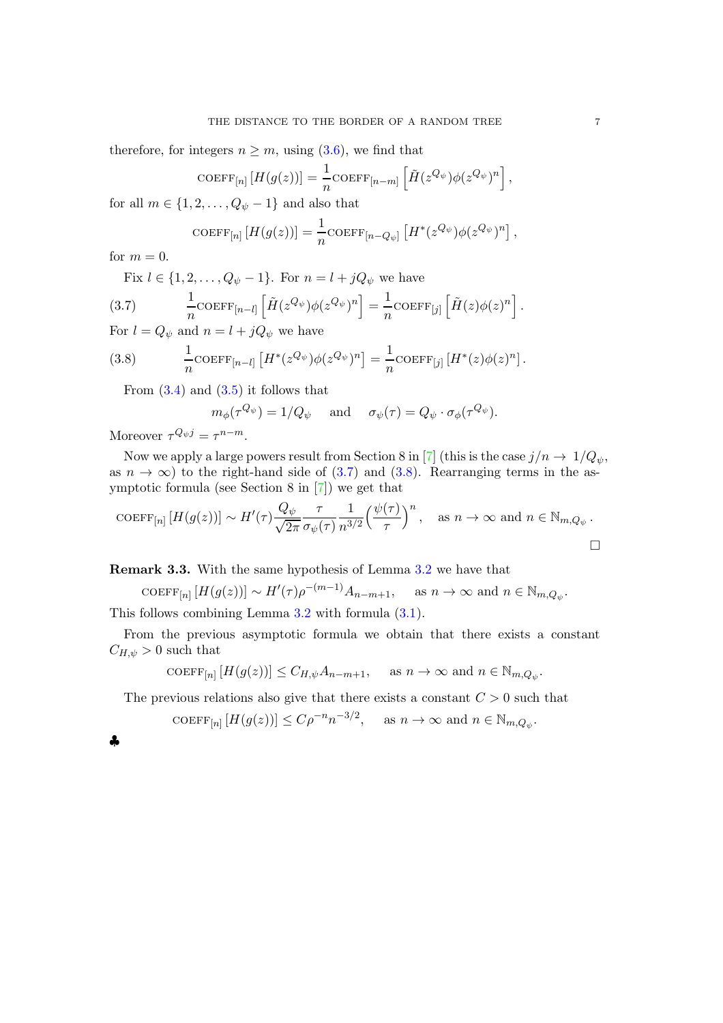therefore, for integers  $n \geq m$ , using [\(3.6\)](#page-5-3), we find that

$$
\text{COEFF}_{[n]}[H(g(z))] = \frac{1}{n} \text{COEFF}_{[n-m]} \left[ \tilde{H}(z^{Q_{\psi}}) \phi(z^{Q_{\psi}})^n \right],
$$

for all  $m \in \{1, 2, \ldots, Q_{\psi} - 1\}$  and also that

$$
\text{COEFF}_{[n]} \left[ H(g(z)) \right] = \frac{1}{n} \text{COEFF}_{[n-Q_{\psi}]} \left[ H^*(z^{Q_{\psi}}) \phi(z^{Q_{\psi}})^n \right],
$$

for  $m = 0$ .

Fix  $l \in \{1, 2, ..., Q_{\psi} - 1\}$ . For  $n = l + jQ_{\psi}$  we have

<span id="page-6-0"></span>(3.7) 
$$
\frac{1}{n} \text{COEFF}_{[n-l]} \left[ \tilde{H}(z^{Q_{\psi}}) \phi(z^{Q_{\psi}})^n \right] = \frac{1}{n} \text{COEFF}_{[j]} \left[ \tilde{H}(z) \phi(z)^n \right].
$$

For  $l = Q_{\psi}$  and  $n = l + jQ_{\psi}$  we have

<span id="page-6-1"></span>(3.8) 
$$
\frac{1}{n} \text{COEFF}_{[n-l]} \left[ H^*(z^{Q_{\psi}}) \phi(z^{Q_{\psi}})^n \right] = \frac{1}{n} \text{COEFF}_{[j]} \left[ H^*(z) \phi(z)^n \right].
$$

From  $(3.4)$  and  $(3.5)$  it follows that

$$
m_{\phi}(\tau^{Q_{\psi}}) = 1/Q_{\psi} \quad \text{and} \quad \sigma_{\psi}(\tau) = Q_{\psi} \cdot \sigma_{\phi}(\tau^{Q_{\psi}}).
$$

Moreover  $\tau^{Q_{\psi}j} = \tau^{n-m}$ .

Now we apply a large powers result from Section 8 in [\[7\]](#page-27-9) (this is the case  $j/n \to 1/Q_{\psi}$ , as  $n \to \infty$ ) to the right-hand side of [\(3.7\)](#page-6-0) and [\(3.8\)](#page-6-1). Rearranging terms in the asymptotic formula (see Section 8 in [\[7\]](#page-27-9)) we get that

$$
\text{COEFF}_{[n]}[H(g(z))] \sim H'(\tau) \frac{Q_{\psi}}{\sqrt{2\pi}} \frac{\tau}{\sigma_{\psi}(\tau)} \frac{1}{n^{3/2}} \Big(\frac{\psi(\tau)}{\tau}\Big)^n, \text{ as } n \to \infty \text{ and } n \in \mathbb{N}_{m,Q_{\psi}}.
$$

Remark 3.3. With the same hypothesis of Lemma [3.2](#page-5-5) we have that

COEFF<sub>[n]</sub>  $[H(g(z))] \sim H'(\tau)\rho^{-(m-1)}A_{n-m+1}$ , as  $n \to \infty$  and  $n \in \mathbb{N}_{m,Q_{\psi}}$ .

This follows combining Lemma [3.2](#page-5-5) with formula [\(3.1\)](#page-4-1).

From the previous asymptotic formula we obtain that there exists a constant  $C_{H,\psi} > 0$  such that

$$
\text{COEFF}_{[n]} \left[ H(g(z)) \right] \le C_{H,\psi} A_{n-m+1}, \quad \text{ as } n \to \infty \text{ and } n \in \mathbb{N}_{m,Q_{\psi}}.
$$

The previous relations also give that there exists a constant  $C > 0$  such that

 $\text{COEFF}_{[n]}[H(g(z))] \leq C\rho^{-n} n^{-3/2}, \quad \text{ as } n \to \infty \text{ and } n \in \mathbb{N}_{m,Q_{\psi}}.$ 

| ł |    | I  |
|---|----|----|
|   | ۰. | ۰. |
|   |    |    |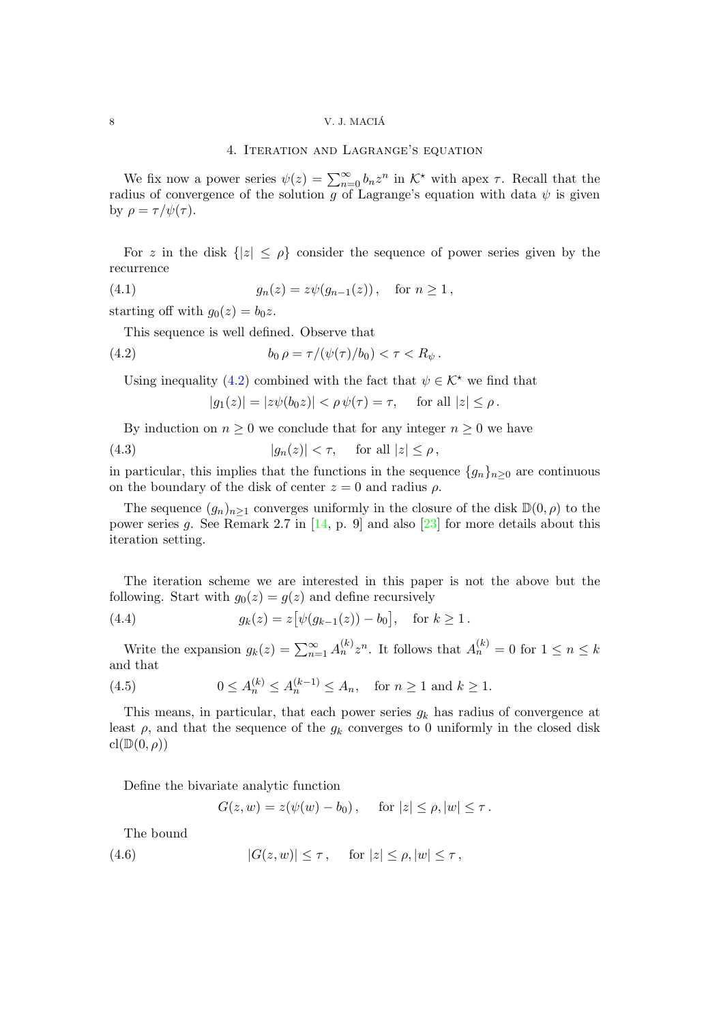# 8  $V. J. MACI$ Á

### 4. Iteration and Lagrange's equation

We fix now a power series  $\psi(z) = \sum_{n=0}^{\infty} b_n z^n$  in  $\mathcal{K}^*$  with apex  $\tau$ . Recall that the radius of convergence of the solution g of Lagrange's equation with data  $\psi$  is given by  $\rho = \tau / \psi(\tau)$ .

For z in the disk  $\{|z| \leq \rho\}$  consider the sequence of power series given by the recurrence

(4.1) 
$$
g_n(z) = z\psi(g_{n-1}(z)), \text{ for } n \ge 1,
$$

starting off with  $g_0(z) = b_0 z$ .

This sequence is well defined. Observe that

<span id="page-7-0"></span>(4.2) 
$$
b_0 \, \rho = \tau / (\psi(\tau) / b_0) < \tau < R_\psi \, .
$$

Using inequality [\(4.2\)](#page-7-0) combined with the fact that  $\psi \in \mathcal{K}^*$  we find that

 $|g_1(z)| = |z\psi(b_0z)| < \rho \psi(\tau) = \tau$ , for all  $|z| \leq \rho$ .

By induction on  $n \geq 0$  we conclude that for any integer  $n \geq 0$  we have

(4.3) 
$$
|g_n(z)| < \tau, \quad \text{for all } |z| \le \rho,
$$

in particular, this implies that the functions in the sequence  ${g_n}_{n>0}$  are continuous on the boundary of the disk of center  $z = 0$  and radius  $\rho$ .

The sequence  $(g_n)_{n\geq 1}$  converges uniformly in the closure of the disk  $\mathbb{D}(0,\rho)$  to the power series g. See Remark 2.7 in  $[14, p. 9]$  and also  $[23]$  for more details about this iteration setting.

The iteration scheme we are interested in this paper is not the above but the following. Start with  $q_0(z) = q(z)$  and define recursively

<span id="page-7-2"></span>(4.4) 
$$
g_k(z) = z \big[ \psi(g_{k-1}(z)) - b_0 \big], \text{ for } k \ge 1.
$$

Write the expansion  $g_k(z) = \sum_{n=1}^{\infty} A_n^{(k)} z^n$ . It follows that  $A_n^{(k)} = 0$  for  $1 \le n \le k$ and that

<span id="page-7-3"></span>(4.5) 
$$
0 \le A_n^{(k)} \le A_n^{(k-1)} \le A_n
$$
, for  $n \ge 1$  and  $k \ge 1$ .

This means, in particular, that each power series  $g_k$  has radius of convergence at least  $\rho$ , and that the sequence of the  $g_k$  converges to 0 uniformly in the closed disk  $\mathrm{cl}(\mathbb{D}(0,\rho))$ 

Define the bivariate analytic function

 $G(z, w) = z(\psi(w) - b_0), \quad \text{for } |z| \le \rho, |w| \le \tau.$ 

The bound

<span id="page-7-1"></span>(4.6)  $|G(z, w)| \leq \tau$ , for  $|z| \leq \rho, |w| \leq \tau$ ,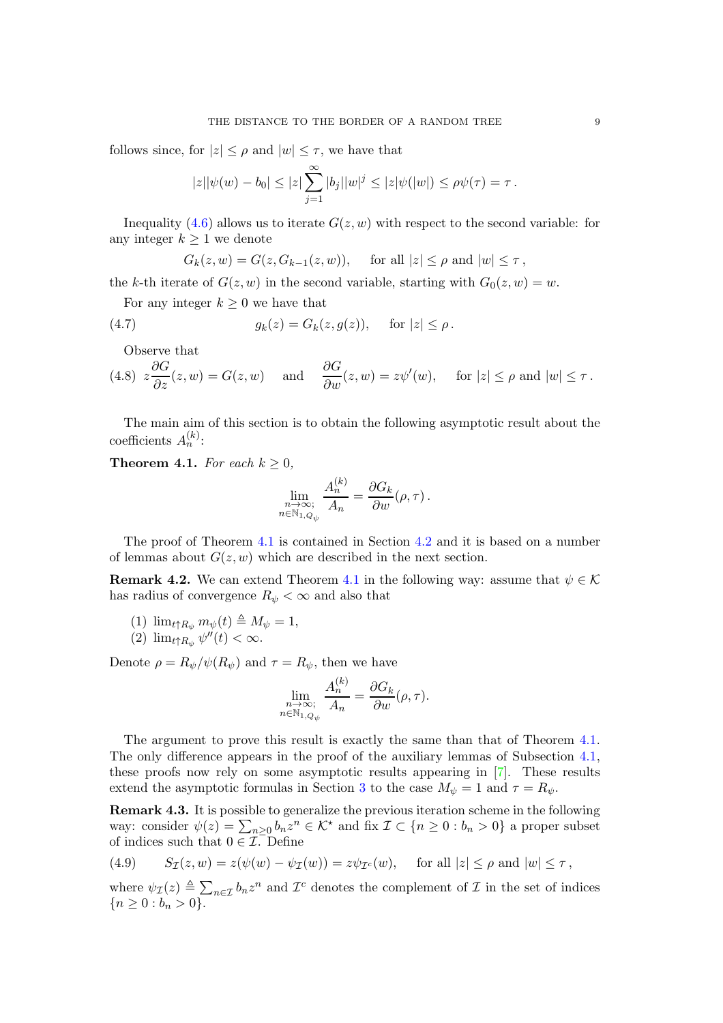follows since, for  $|z| \leq \rho$  and  $|w| \leq \tau$ , we have that

$$
|z||\psi(w) - b_0| \leq |z| \sum_{j=1}^{\infty} |b_j||w|^j \leq |z|\psi(|w|) \leq \rho\psi(\tau) = \tau.
$$

Inequality [\(4.6\)](#page-7-1) allows us to iterate  $G(z, w)$  with respect to the second variable: for any integer  $k \geq 1$  we denote

$$
G_k(z, w) = G(z, G_{k-1}(z, w)), \quad \text{ for all } |z| \le \rho \text{ and } |w| \le \tau,
$$

the k-th iterate of  $G(z, w)$  in the second variable, starting with  $G_0(z, w) = w$ .

For any integer  $k \geq 0$  we have that

<span id="page-8-2"></span>(4.7) 
$$
g_k(z) = G_k(z, g(z)), \text{ for } |z| \le \rho.
$$

<span id="page-8-3"></span>Observe that

(4.8) 
$$
z\frac{\partial G}{\partial z}(z,w) = G(z,w)
$$
 and  $\frac{\partial G}{\partial w}(z,w) = z\psi'(w)$ , for  $|z| \le \rho$  and  $|w| \le \tau$ .

The main aim of this section is to obtain the following asymptotic result about the coefficients  $A_n^{(k)}$ :

<span id="page-8-0"></span>**Theorem 4.1.** For each  $k \geq 0$ ,

$$
\lim_{\substack{n \to \infty; \\ n \in \mathbb{N}_{1, Q_{s\wedge}}} \frac{A_n^{(k)}}{A_n} = \frac{\partial G_k}{\partial w}(\rho, \tau).
$$

The proof of Theorem [4.1](#page-8-0) is contained in Section [4.2](#page-11-0) and it is based on a number of lemmas about  $G(z, w)$  which are described in the next section.

**Remark 4.2.** We can extend Theorem [4.1](#page-8-0) in the following way: assume that  $\psi \in \mathcal{K}$ has radius of convergence  $R_{\psi} < \infty$  and also that

(1) 
$$
\lim_{t \uparrow R_{\psi}} m_{\psi}(t) \triangleq M_{\psi} = 1,
$$

(2) 
$$
\lim_{t\uparrow R_{\psi}}\psi''(t)<\infty.
$$

Denote  $\rho = R_{\psi}/\psi(R_{\psi})$  and  $\tau = R_{\psi}$ , then we have

$$
\lim_{\substack{n \to \infty; \\ n \in \mathbb{N}_{1, Q_{\psi}}}} \frac{A_n^{(k)}}{A_n} = \frac{\partial G_k}{\partial w}(\rho, \tau).
$$

The argument to prove this result is exactly the same than that of Theorem [4.1.](#page-8-0) The only difference appears in the proof of the auxiliary lemmas of Subsection [4.1,](#page-9-0) these proofs now rely on some asymptotic results appearing in [\[7\]](#page-27-9). These results extend the asymptotic formulas in Section [3](#page-3-0) to the case  $M_{\psi} = 1$  and  $\tau = R_{\psi}$ .

Remark 4.3. It is possible to generalize the previous iteration scheme in the following way: consider  $\psi(z) = \sum_{n \geq 0} b_n z^n \in \mathcal{K}^*$  and fix  $\mathcal{I} \subset \{n \geq 0 : b_n > 0\}$  a proper subset of indices such that  $0 \in \mathcal{I}$ . Define

<span id="page-8-1"></span>(4.9) 
$$
S_{\mathcal{I}}(z,w) = z(\psi(w) - \psi_{\mathcal{I}}(w)) = z\psi_{\mathcal{I}^c}(w), \text{ for all } |z| \leq \rho \text{ and } |w| \leq \tau,
$$

where  $\psi_{\mathcal{I}}(z) \triangleq \sum_{n \in \mathcal{I}} b_n z^n$  and  $\mathcal{I}^c$  denotes the complement of  $\mathcal{I}$  in the set of indices  ${n \geq 0 : b_n > 0}.$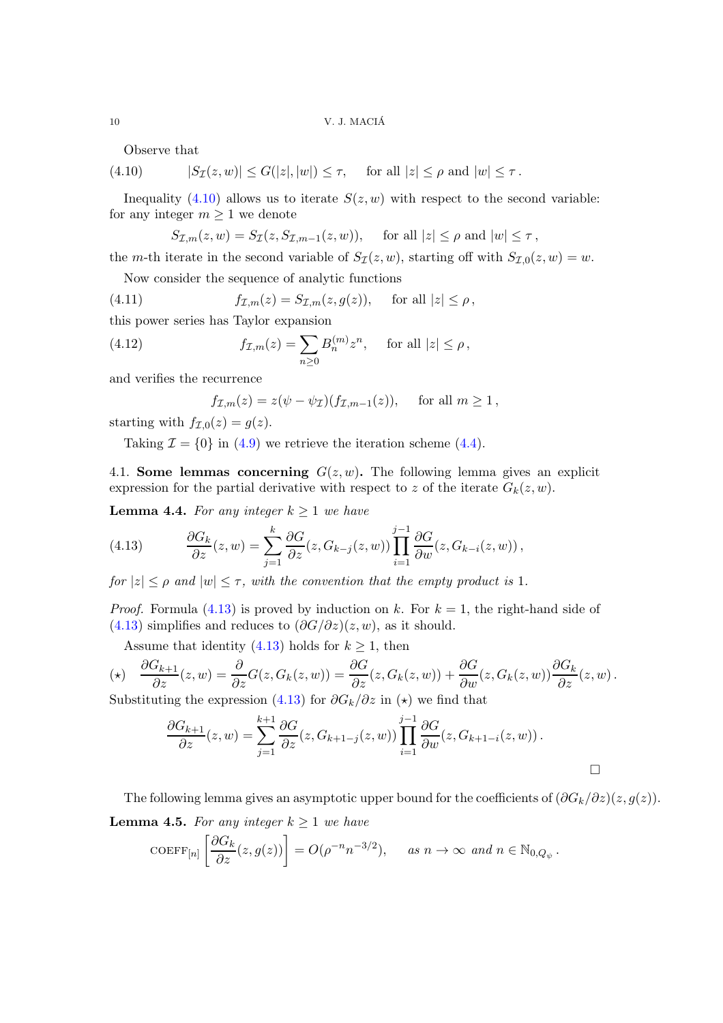Observe that

<span id="page-9-1"></span>(4.10)  $|S_{\mathcal{I}}(z, w)| \leq G(|z|, |w|) \leq \tau$ , for all  $|z| \leq \rho$  and  $|w| \leq \tau$ .

Inequality [\(4.10\)](#page-9-1) allows us to iterate  $S(z, w)$  with respect to the second variable: for any integer  $m \geq 1$  we denote

$$
S_{\mathcal{I},m}(z,w) = S_{\mathcal{I}}(z, S_{\mathcal{I},m-1}(z,w)), \quad \text{ for all } |z| \le \rho \text{ and } |w| \le \tau,
$$

the m-th iterate in the second variable of  $S_{\mathcal{I}}(z, w)$ , starting off with  $S_{\mathcal{I},0}(z, w) = w$ .

Now consider the sequence of analytic functions

(4.11) 
$$
f_{\mathcal{I},m}(z) = S_{\mathcal{I},m}(z,g(z)), \quad \text{for all } |z| \leq \rho,
$$

this power series has Taylor expansion

(4.12) 
$$
f_{\mathcal{I},m}(z) = \sum_{n\geq 0} B_n^{(m)} z^n, \text{ for all } |z| \leq \rho,
$$

and verifies the recurrence

$$
f_{\mathcal{I},m}(z) = z(\psi - \psi_{\mathcal{I}})(f_{\mathcal{I},m-1}(z)), \quad \text{ for all } m \ge 1,
$$

starting with  $f_{\mathcal{I},0}(z) = g(z)$ .

<span id="page-9-0"></span>Taking  $\mathcal{I} = \{0\}$  in [\(4.9\)](#page-8-1) we retrieve the iteration scheme [\(4.4\)](#page-7-2).

4.1. Some lemmas concerning  $G(z, w)$ . The following lemma gives an explicit expression for the partial derivative with respect to z of the iterate  $G_k(z, w)$ .

<span id="page-9-3"></span>**Lemma 4.4.** For any integer  $k \geq 1$  we have

<span id="page-9-2"></span>(4.13) 
$$
\frac{\partial G_k}{\partial z}(z,w) = \sum_{j=1}^k \frac{\partial G}{\partial z}(z, G_{k-j}(z,w)) \prod_{i=1}^{j-1} \frac{\partial G}{\partial w}(z, G_{k-i}(z,w)),
$$

for  $|z| \leq \rho$  and  $|w| \leq \tau$ , with the convention that the empty product is 1.

*Proof.* Formula [\(4.13\)](#page-9-2) is proved by induction on k. For  $k = 1$ , the right-hand side of [\(4.13\)](#page-9-2) simplifies and reduces to  $(\partial G/\partial z)(z, w)$ , as it should.

Assume that identity [\(4.13\)](#page-9-2) holds for  $k \geq 1$ , then

$$
(\star) \quad \frac{\partial G_{k+1}}{\partial z}(z,w) = \frac{\partial}{\partial z}G(z, G_k(z,w)) = \frac{\partial G}{\partial z}(z, G_k(z,w)) + \frac{\partial G}{\partial w}(z, G_k(z,w))\frac{\partial G_k}{\partial z}(z,w).
$$

Substituting the expression [\(4.13\)](#page-9-2) for  $\partial G_k/\partial z$  in  $(\star)$  we find that

$$
\frac{\partial G_{k+1}}{\partial z}(z,w) = \sum_{j=1}^{k+1} \frac{\partial G}{\partial z}(z, G_{k+1-j}(z,w)) \prod_{i=1}^{j-1} \frac{\partial G}{\partial w}(z, G_{k+1-i}(z,w)).
$$

<span id="page-9-4"></span>The following lemma gives an asymptotic upper bound for the coefficients of  $(\partial G_k/\partial z)(z, g(z))$ . **Lemma 4.5.** For any integer  $k \geq 1$  we have

$$
\text{COEFF}_{[n]} \left[ \frac{\partial G_k}{\partial z}(z, g(z)) \right] = O(\rho^{-n} n^{-3/2}), \quad \text{as } n \to \infty \text{ and } n \in \mathbb{N}_{0, Q_{\psi}}.
$$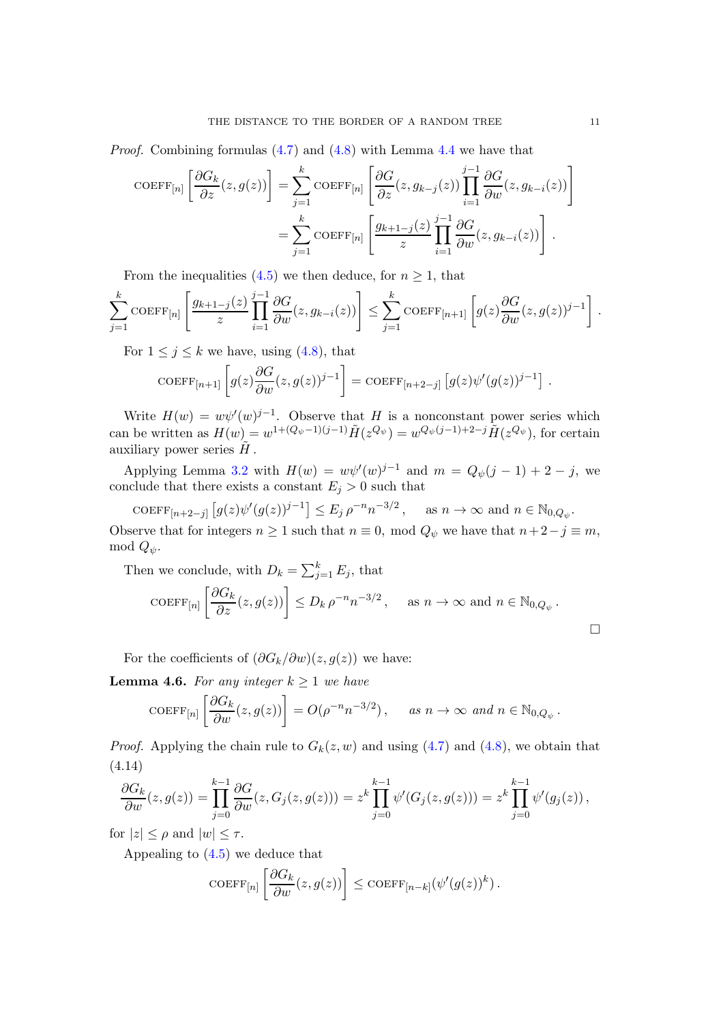*Proof.* Combining formulas  $(4.7)$  and  $(4.8)$  with Lemma [4.4](#page-9-3) we have that

$$
\text{COEFF}_{[n]} \left[ \frac{\partial G_k}{\partial z}(z, g(z)) \right] = \sum_{j=1}^k \text{COEFF}_{[n]} \left[ \frac{\partial G}{\partial z}(z, g_{k-j}(z)) \prod_{i=1}^{j-1} \frac{\partial G}{\partial w}(z, g_{k-i}(z)) \right]
$$

$$
= \sum_{j=1}^k \text{COEFF}_{[n]} \left[ \frac{g_{k+1-j}(z)}{z} \prod_{i=1}^{j-1} \frac{\partial G}{\partial w}(z, g_{k-i}(z)) \right].
$$

From the inequalities [\(4.5\)](#page-7-3) we then deduce, for  $n \geq 1$ , that

$$
\sum_{j=1}^k \mathrm{COEFF}_{[n]} \left[ \frac{g_{k+1-j}(z)}{z} \prod_{i=1}^{j-1} \frac{\partial G}{\partial w}(z, g_{k-i}(z)) \right] \leq \sum_{j=1}^k \mathrm{COEFF}_{[n+1]} \left[ g(z) \frac{\partial G}{\partial w}(z, g(z))^{j-1} \right].
$$

For  $1 \leq j \leq k$  we have, using [\(4.8\)](#page-8-3), that

$$
\text{COEFF}_{[n+1]} \left[ g(z) \frac{\partial G}{\partial w}(z, g(z))^{j-1} \right] = \text{COEFF}_{[n+2-j]} \left[ g(z) \psi'(g(z))^{j-1} \right].
$$

Write  $H(w) = w\psi'(w)^{j-1}$ . Observe that H is a nonconstant power series which can be written as  $H(w) = w^{1+(Q_{\psi}-1)(j-1)} \tilde{H}(z^{Q_{\psi}}) = w^{Q_{\psi}(j-1)+2-j} \tilde{H}(z^{Q_{\psi}})$ , for certain auxiliary power series  $\tilde{H}$ .

Applying Lemma [3.2](#page-5-5) with  $H(w) = w\psi'(w)^{j-1}$  and  $m = Q_{\psi}(j-1) + 2 - j$ , we conclude that there exists a constant  $E_j > 0$  such that

COEFF[n+2-j]  $[g(z)\psi'(g(z))^{j-1}] \leq E_j \rho^{-n} n^{-3/2}$ , as  $n \to \infty$  and  $n \in \mathbb{N}_{0,Q_{\psi}}$ . Observe that for integers  $n \ge 1$  such that  $n \equiv 0$ , mod  $Q_{\psi}$  we have that  $n + 2 - j \equiv m$ , mod  $Q_{\psi}$ .

Then we conclude, with 
$$
D_k = \sum_{j=1}^k E_j
$$
, that  
\n
$$
\text{COEFF}_{[n]} \left[ \frac{\partial G_k}{\partial z} (z, g(z)) \right] \le D_k \rho^{-n} n^{-3/2}, \quad \text{as } n \to \infty \text{ and } n \in \mathbb{N}_{0, Q_{\psi}}.
$$

For the coefficients of  $(\partial G_k/\partial w)(z, g(z))$  we have:

<span id="page-10-1"></span>**Lemma 4.6.** For any integer  $k \geq 1$  we have

$$
COEFF_{[n]} \left[ \frac{\partial G_k}{\partial w}(z, g(z)) \right] = O(\rho^{-n} n^{-3/2}), \quad \text{as } n \to \infty \text{ and } n \in \mathbb{N}_{0, Q_{\psi}}.
$$

<span id="page-10-0"></span>*Proof.* Applying the chain rule to  $G_k(z, w)$  and using [\(4.7\)](#page-8-2) and [\(4.8\)](#page-8-3), we obtain that (4.14)

$$
\frac{\partial G_k}{\partial w}(z,g(z)) = \prod_{j=0}^{k-1} \frac{\partial G}{\partial w}(z, G_j(z, g(z))) = z^k \prod_{j=0}^{k-1} \psi'(G_j(z, g(z))) = z^k \prod_{j=0}^{k-1} \psi'(g_j(z)),
$$

for  $|z| < \rho$  and  $|w| < \tau$ .

Appealing to [\(4.5\)](#page-7-3) we deduce that

$$
\mathrm{COEFF}_{[n]} \left[ \frac{\partial G_k}{\partial w}(z, g(z)) \right] \leq \mathrm{COEFF}_{[n-k]} (\psi'(g(z))^k).
$$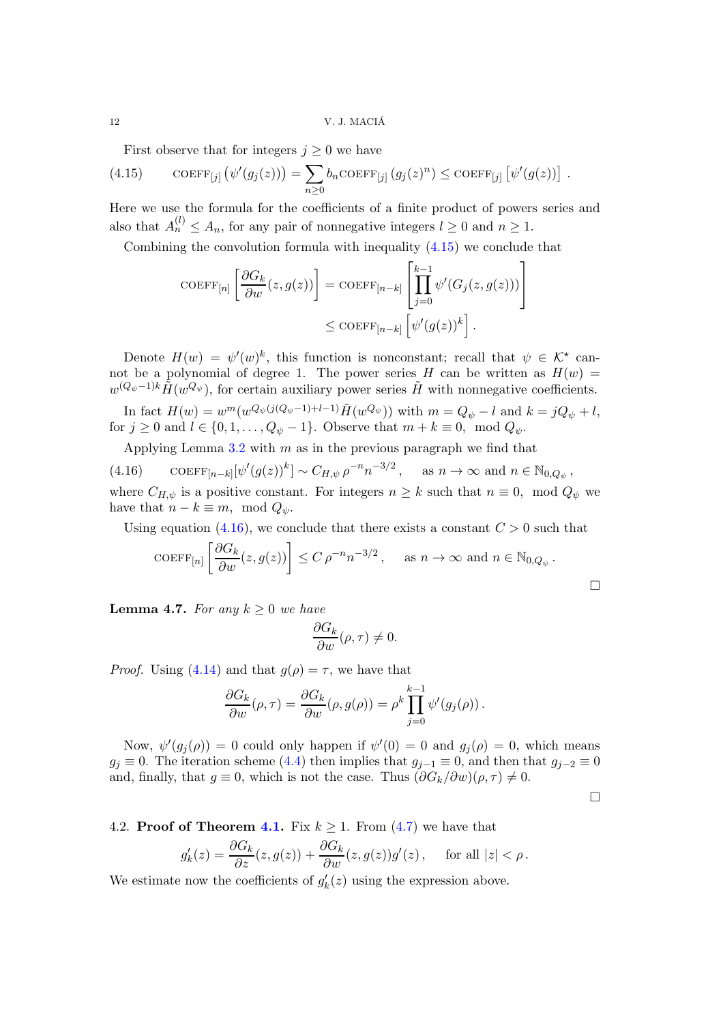12 V. J. MACIA´

First observe that for integers  $j \geq 0$  we have

<span id="page-11-1"></span>(4.15) COEFF<sub>[j]</sub> 
$$
(\psi'(g_j(z))) = \sum_{n\geq 0} b_n \text{COEFF}_{[j]} (g_j(z)^n) \leq \text{COEFF}_{[j]} [\psi'(g(z))] .
$$

Here we use the formula for the coefficients of a finite product of powers series and also that  $A_n^{(l)} \leq A_n$ , for any pair of nonnegative integers  $l \geq 0$  and  $n \geq 1$ .

Combining the convolution formula with inequality [\(4.15\)](#page-11-1) we conclude that

$$
\text{COEFF}_{[n]} \left[ \frac{\partial G_k}{\partial w}(z, g(z)) \right] = \text{COEFF}_{[n-k]} \left[ \prod_{j=0}^{k-1} \psi'(G_j(z, g(z))) \right] \le \text{COEFF}_{[n-k]} \left[ \psi'(g(z))^k \right].
$$

Denote  $H(w) = \psi'(w)^k$ , this function is nonconstant; recall that  $\psi \in \mathcal{K}^*$  cannot be a polynomial of degree 1. The power series H can be written as  $H(w)$  =  $w^{(Q_{\psi}-1)k}\tilde{H}(w^{Q_{\psi}})$ , for certain auxiliary power series  $\tilde{H}$  with nonnegative coefficients. In fact  $H(w) = w^m(w^{Q_{\psi}(j(Q_{\psi}-1)+l-1)}\tilde{H}(w^{Q_{\psi}}))$  with  $m = Q_{\psi} - l$  and  $k = jQ_{\psi} + l$ ,

for  $j \geq 0$  and  $l \in \{0, 1, \ldots, Q_{\psi} - 1\}$ . Observe that  $m + k \equiv 0$ , mod  $Q_{\psi}$ .

Applying Lemma  $3.2$  with  $m$  as in the previous paragraph we find that

<span id="page-11-2"></span>(4.16)  $\text{COEFF}_{[n-k]}[\psi'(g(z))^k] \sim C_{H,\psi} \rho^{-n} n^{-3/2}$ , as  $n \to \infty$  and  $n \in \mathbb{N}_{0,Q_{\psi}}$ , where  $C_{H,\psi}$  is a positive constant. For integers  $n \geq k$  such that  $n \equiv 0$ , mod  $Q_{\psi}$  we have that  $n - k \equiv m$ , mod  $Q_{\psi}$ .

Using equation [\(4.16\)](#page-11-2), we conclude that there exists a constant  $C > 0$  such that

$$
\text{COEFF}_{[n]} \left[ \frac{\partial G_k}{\partial w}(z, g(z)) \right] \le C \rho^{-n} n^{-3/2}, \quad \text{as } n \to \infty \text{ and } n \in \mathbb{N}_{0, Q_{\psi}}.
$$

<span id="page-11-3"></span>**Lemma 4.7.** For any  $k \geq 0$  we have

$$
\frac{\partial G_k}{\partial w}(\rho, \tau) \neq 0.
$$

*Proof.* Using [\(4.14\)](#page-10-0) and that  $g(\rho) = \tau$ , we have that

$$
\frac{\partial G_k}{\partial w}(\rho, \tau) = \frac{\partial G_k}{\partial w}(\rho, g(\rho)) = \rho^k \prod_{j=0}^{k-1} \psi'(g_j(\rho)).
$$

Now,  $\psi'(g_j(\rho)) = 0$  could only happen if  $\psi'(0) = 0$  and  $g_j(\rho) = 0$ , which means  $g_j \equiv 0$ . The iteration scheme [\(4.4\)](#page-7-2) then implies that  $g_{j-1} \equiv 0$ , and then that  $g_{j-2} \equiv 0$ and, finally, that  $g \equiv 0$ , which is not the case. Thus  $(\partial G_k/\partial w)(\rho, \tau) \neq 0$ .

 $\Box$ 

<span id="page-11-0"></span>4.2. **Proof of Theorem 4.1.** Fix 
$$
k \ge 1
$$
. From (4.7) we have that

$$
g'_k(z) = \frac{\partial G_k}{\partial z}(z, g(z)) + \frac{\partial G_k}{\partial w}(z, g(z))g'(z), \quad \text{ for all } |z| < \rho.
$$

We estimate now the coefficients of  $g'_k(z)$  using the expression above.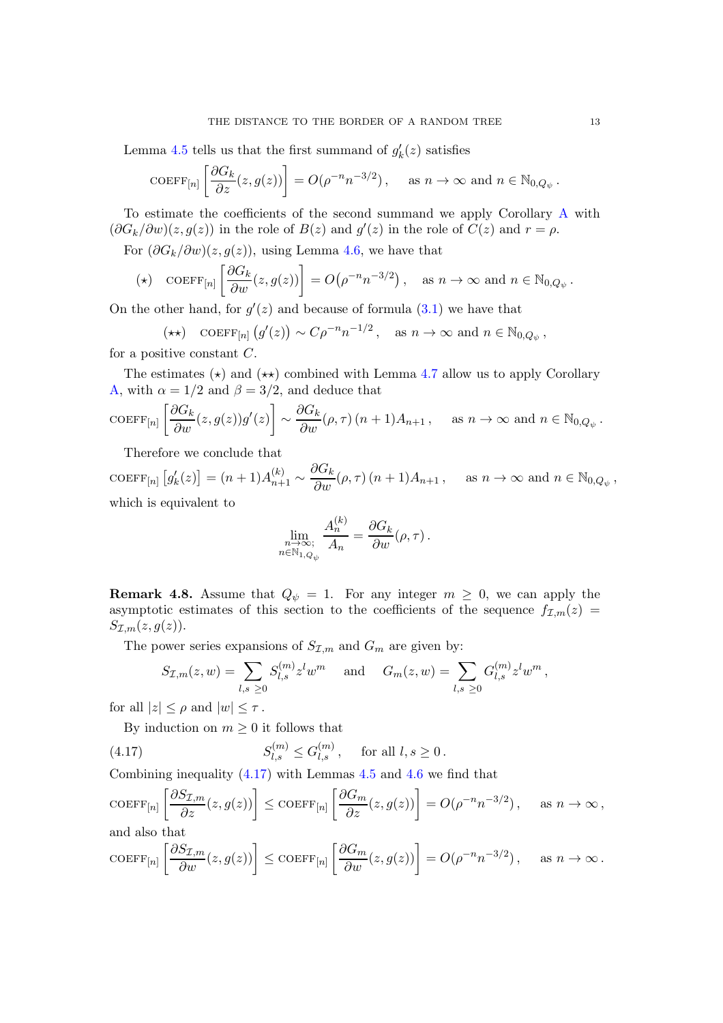Lemma [4.5](#page-9-4) tells us that the first summand of  $g'_k(z)$  satisfies

$$
\text{COEFF}_{[n]} \left[ \frac{\partial G_k}{\partial z}(z, g(z)) \right] = O(\rho^{-n} n^{-3/2}), \quad \text{ as } n \to \infty \text{ and } n \in \mathbb{N}_{0, Q_{\psi}}.
$$

To estimate the coefficients of the second summand we apply Corollary [A](#page-3-1) with  $(\partial G_k/\partial w)(z, g(z))$  in the role of  $B(z)$  and  $g'(z)$  in the role of  $C(z)$  and  $r = \rho$ .

For  $(\partial G_k/\partial w)(z, g(z))$ , using Lemma [4.6,](#page-10-1) we have that

$$
(\star) \quad \text{COEFF}_{[n]} \left[ \frac{\partial G_k}{\partial w}(z, g(z)) \right] = O\big(\rho^{-n} n^{-3/2}\big) \,, \quad \text{as } n \to \infty \text{ and } n \in \mathbb{N}_{0, Q_{\psi}} \,.
$$

On the other hand, for  $g'(z)$  and because of formula  $(3.1)$  we have that

$$
(\star \star) \quad \text{COEFF}_{[n]}(g'(z)) \sim C\rho^{-n} n^{-1/2} \,, \quad \text{as } n \to \infty \text{ and } n \in \mathbb{N}_{0,Q_{\psi}},
$$
 positive constant  $C$ 

for a positive constant C.

The estimates ( $\star$ ) and ( $\star\star$ ) combined with Lemma [4.7](#page-11-3) allow us to apply Corollary [A,](#page-3-1) with  $\alpha = 1/2$  and  $\beta = 3/2$ , and deduce that

$$
\text{COEFF}_{[n]} \left[ \frac{\partial G_k}{\partial w}(z, g(z)) g'(z) \right] \sim \frac{\partial G_k}{\partial w}(\rho, \tau) (n+1) A_{n+1}, \quad \text{as } n \to \infty \text{ and } n \in \mathbb{N}_{0, Q_{\psi}}.
$$

Therefore we conclude that

 $\text{coeff}_{[n]}\left[g_k'(z)\right] = (n+1)A_{n+1}^{(k)} \sim$  $\frac{\partial G_k}{\partial w}(\rho, \tau) (n+1) A_{n+1}$ , as  $n \to \infty$  and  $n \in \mathbb{N}_{0, Q_{\psi}}$ , which is equivalent to  $\langle i \rangle$ 

$$
\lim_{\substack{n \to \infty, \\ n \in \mathbb{N}_{1, Q_{\psi}}}} \frac{A_n^{(\kappa)}}{A_n} = \frac{\partial G_k}{\partial w}(\rho, \tau).
$$

**Remark 4.8.** Assume that  $Q_{\psi} = 1$ . For any integer  $m \geq 0$ , we can apply the asymptotic estimates of this section to the coefficients of the sequence  $f_{\mathcal{I},m}(z)$  =  $S_{\mathcal{I},m}(z,g(z)).$ 

The power series expansions of  $S_{\mathcal{I},m}$  and  $G_m$  are given by:

$$
S_{\mathcal{I},m}(z,w) = \sum_{l,s \ge 0} S_{l,s}^{(m)} z^l w^m \quad \text{and} \quad G_m(z,w) = \sum_{l,s \ge 0} G_{l,s}^{(m)} z^l w^m,
$$

for all  $|z| \leq \rho$  and  $|w| \leq \tau$ .

By induction on  $m \geq 0$  it follows that

<span id="page-12-0"></span>(4.17) 
$$
S_{l,s}^{(m)} \le G_{l,s}^{(m)}, \text{ for all } l, s \ge 0.
$$

Combining inequality [\(4.17\)](#page-12-0) with Lemmas [4.5](#page-9-4) and [4.6](#page-10-1) we find that

$$
\text{COEFF}_{[n]} \left[ \frac{\partial S_{\mathcal{I},m}}{\partial z}(z,g(z)) \right] \le \text{COEFF}_{[n]} \left[ \frac{\partial G_m}{\partial z}(z,g(z)) \right] = O(\rho^{-n} n^{-3/2}), \quad \text{as } n \to \infty,
$$
 and also that

and also that

$$
\text{COEFF}_{[n]} \left[ \frac{\partial S_{\mathcal{I},m}}{\partial w}(z,g(z)) \right] \leq \text{COEFF}_{[n]} \left[ \frac{\partial G_m}{\partial w}(z,g(z)) \right] = O(\rho^{-n} n^{-3/2}), \quad \text{as } n \to \infty.
$$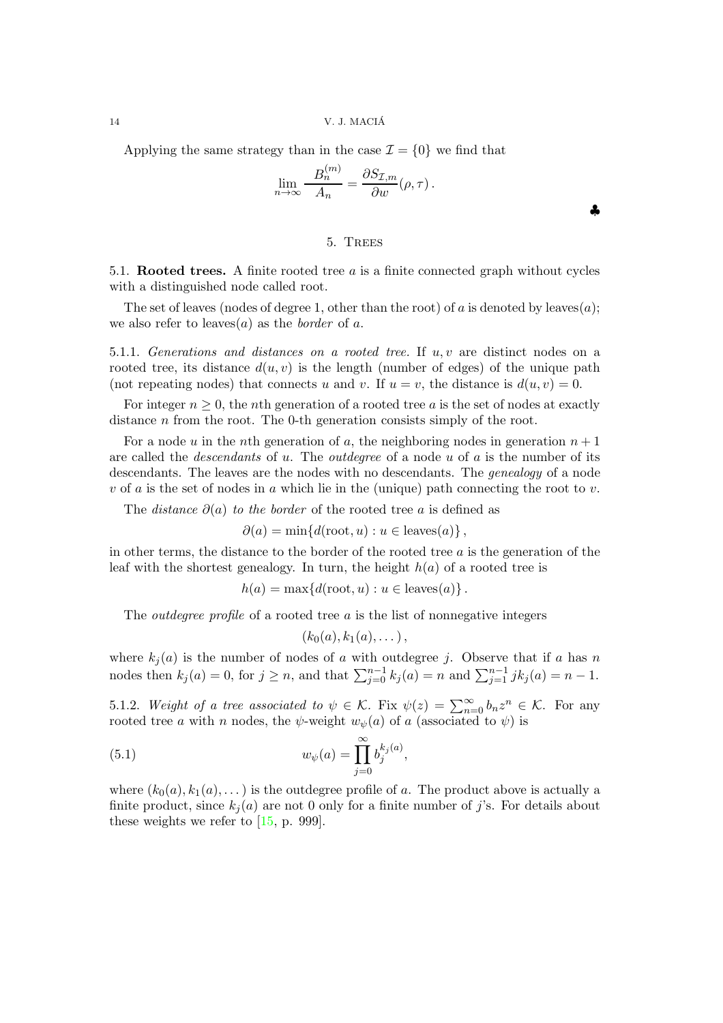14 V. J. MACIA´

Applying the same strategy than in the case  $\mathcal{I} = \{0\}$  we find that

$$
\lim_{n \to \infty} \frac{B_n^{(m)}}{A_n} = \frac{\partial S_{\mathcal{I},m}}{\partial w}(\rho, \tau).
$$

♣

### 5. Trees

5.1. Rooted trees. A finite rooted tree  $a$  is a finite connected graph without cycles with a distinguished node called root.

The set of leaves (nodes of degree 1, other than the root) of a is denoted by leaves(a); we also refer to leaves(*a*) as the *border* of *a*.

5.1.1. Generations and distances on a rooted tree. If  $u, v$  are distinct nodes on a rooted tree, its distance  $d(u, v)$  is the length (number of edges) of the unique path (not repeating nodes) that connects u and v. If  $u = v$ , the distance is  $d(u, v) = 0$ .

For integer  $n \geq 0$ , the *n*th generation of a rooted tree a is the set of nodes at exactly distance *n* from the root. The 0-th generation consists simply of the root.

For a node u in the nth generation of a, the neighboring nodes in generation  $n+1$ are called the *descendants* of  $u$ . The *outdegree* of a node  $u$  of  $a$  is the number of its descendants. The leaves are the nodes with no descendants. The *genealogy* of a node  $v$  of a is the set of nodes in a which lie in the (unique) path connecting the root to  $v$ .

The *distance*  $\partial(a)$  to the border of the rooted tree a is defined as

$$
\partial(a) = \min\{d(\text{root}, u) : u \in \text{leaves}(a)\},\
$$

in other terms, the distance to the border of the rooted tree  $a$  is the generation of the leaf with the shortest genealogy. In turn, the height  $h(a)$  of a rooted tree is

$$
h(a) = \max\{d(\text{root}, u) : u \in \text{leaves}(a)\}.
$$

The *outdegree profile* of a rooted tree  $a$  is the list of nonnegative integers

$$
(k_0(a), k_1(a), \dots),
$$

where  $k_j(a)$  is the number of nodes of a with outdegree j. Observe that if a has n nodes then  $k_j(a) = 0$ , for  $j \ge n$ , and that  $\sum_{j=0}^{n-1} k_j(a) = n$  and  $\sum_{j=1}^{n-1} j k_j(a) = n - 1$ .

5.1.2. Weight of a tree associated to  $\psi \in \mathcal{K}$ . Fix  $\psi(z) = \sum_{n=0}^{\infty} b_n z^n \in \mathcal{K}$ . For any rooted tree a with n nodes, the  $\psi$ -weight  $w_{\psi}(a)$  of a (associated to  $\psi$ ) is

<span id="page-13-0"></span>(5.1) 
$$
w_{\psi}(a) = \prod_{j=0}^{\infty} b_j^{k_j(a)},
$$

where  $(k_0(a), k_1(a), \dots)$  is the outdegree profile of a. The product above is actually a finite product, since  $k_i(a)$  are not 0 only for a finite number of j's. For details about these weights we refer to [\[15,](#page-27-13) p. 999].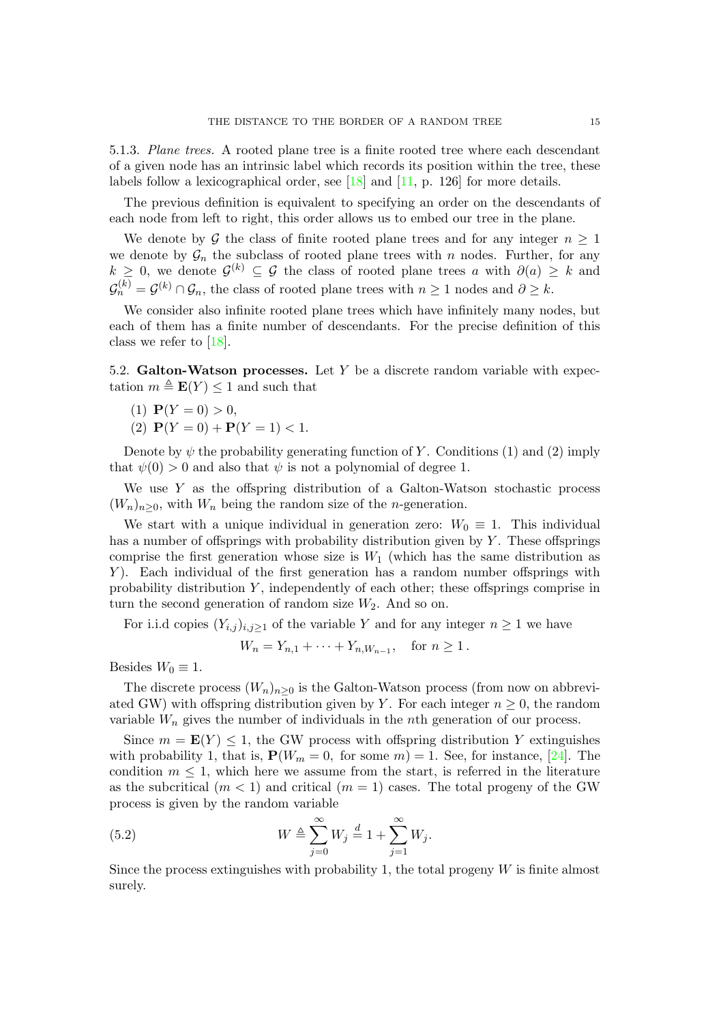5.1.3. Plane trees. A rooted plane tree is a finite rooted tree where each descendant of a given node has an intrinsic label which records its position within the tree, these labels follow a lexicographical order, see [\[18\]](#page-27-17) and [\[11,](#page-27-10) p. 126] for more details.

The previous definition is equivalent to specifying an order on the descendants of each node from left to right, this order allows us to embed our tree in the plane.

We denote by G the class of finite rooted plane trees and for any integer  $n \geq 1$ we denote by  $\mathcal{G}_n$  the subclass of rooted plane trees with n nodes. Further, for any  $k \geq 0$ , we denote  $\mathcal{G}^{(k)} \subseteq \mathcal{G}$  the class of rooted plane trees a with  $\partial(a) \geq k$  and  $\mathcal{G}_n^{(k)} = \mathcal{G}^{(k)} \cap \mathcal{G}_n$ , the class of rooted plane trees with  $n \geq 1$  nodes and  $\partial \geq k$ .

We consider also infinite rooted plane trees which have infinitely many nodes, but each of them has a finite number of descendants. For the precise definition of this class we refer to [\[18\]](#page-27-17).

5.2. Galton-Watson processes. Let  $Y$  be a discrete random variable with expectation  $m \triangleq \mathbf{E}(Y) \leq 1$  and such that

- (1)  $P(Y = 0) > 0$ ,
- (2)  $P(Y = 0) + P(Y = 1) < 1.$

Denote by  $\psi$  the probability generating function of Y. Conditions (1) and (2) imply that  $\psi(0) > 0$  and also that  $\psi$  is not a polynomial of degree 1.

We use  $Y$  as the offspring distribution of a Galton-Watson stochastic process  $(W_n)_{n>0}$ , with  $W_n$  being the random size of the *n*-generation.

We start with a unique individual in generation zero:  $W_0 \equiv 1$ . This individual has a number of offsprings with probability distribution given by  $Y$ . These offsprings comprise the first generation whose size is  $W_1$  (which has the same distribution as Y). Each individual of the first generation has a random number offsprings with probability distribution  $Y$ , independently of each other; these offsprings comprise in turn the second generation of random size  $W_2$ . And so on.

For i.i.d copies  $(Y_{i,j})_{i,j\geq 1}$  of the variable Y and for any integer  $n \geq 1$  we have

$$
W_n = Y_{n,1} + \dots + Y_{n,W_{n-1}}, \quad \text{for } n \ge 1.
$$

Besides  $W_0 \equiv 1$ .

The discrete process  $(W_n)_{n\geq 0}$  is the Galton-Watson process (from now on abbreviated GW) with offspring distribution given by Y. For each integer  $n \geq 0$ , the random variable  $W_n$  gives the number of individuals in the nth generation of our process.

Since  $m = \mathbf{E}(Y) \leq 1$ , the GW process with offspring distribution Y extinguishes with probability 1, that is,  $P(W_m = 0, \text{ for some } m) = 1$ . See, for instance, [\[24\]](#page-28-0). The condition  $m \leq 1$ , which here we assume from the start, is referred in the literature as the subcritical  $(m < 1)$  and critical  $(m = 1)$  cases. The total progeny of the GW process is given by the random variable

(5.2) 
$$
W \triangleq \sum_{j=0}^{\infty} W_j \stackrel{d}{=} 1 + \sum_{j=1}^{\infty} W_j.
$$

Since the process extinguishes with probability 1, the total progeny  $W$  is finite almost surely.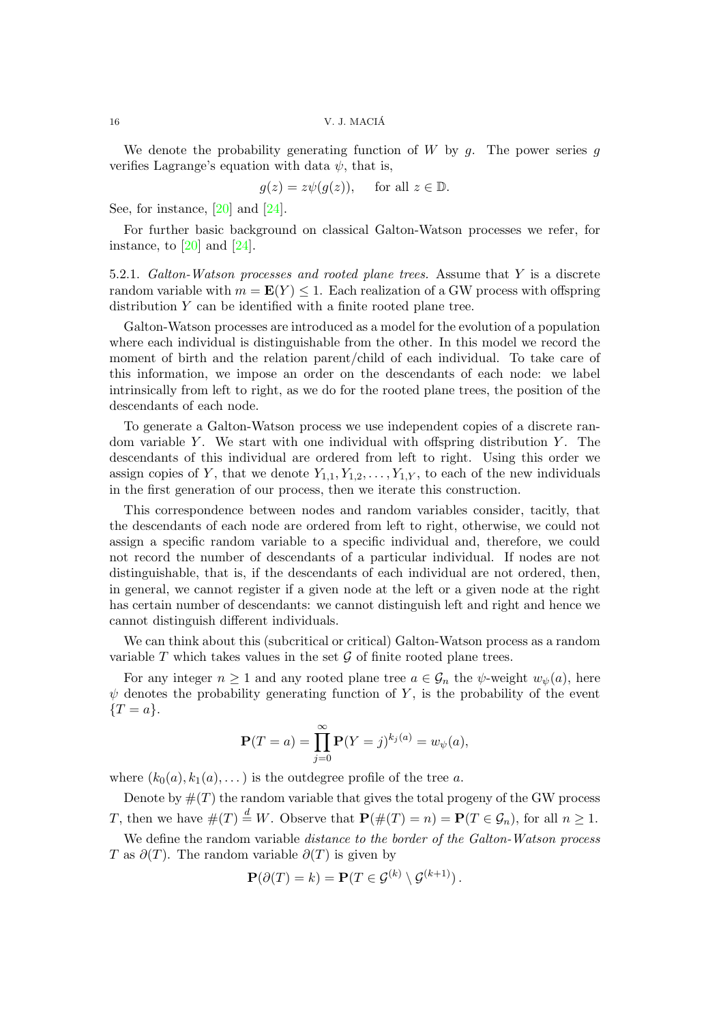We denote the probability generating function of  $W$  by  $g$ . The power series  $g$ verifies Lagrange's equation with data  $\psi$ , that is,

$$
g(z) = z\psi(g(z)),
$$
 for all  $z \in \mathbb{D}$ .

See, for instance, [\[20\]](#page-27-18) and [\[24\]](#page-28-0).

For further basic background on classical Galton-Watson processes we refer, for instance, to  $[20]$  and  $[24]$ .

5.2.1. Galton-Watson processes and rooted plane trees. Assume that Y is a discrete random variable with  $m = \mathbf{E}(Y) \leq 1$ . Each realization of a GW process with offspring distribution Y can be identified with a finite rooted plane tree.

Galton-Watson processes are introduced as a model for the evolution of a population where each individual is distinguishable from the other. In this model we record the moment of birth and the relation parent/child of each individual. To take care of this information, we impose an order on the descendants of each node: we label intrinsically from left to right, as we do for the rooted plane trees, the position of the descendants of each node.

To generate a Galton-Watson process we use independent copies of a discrete random variable Y. We start with one individual with offspring distribution Y. The descendants of this individual are ordered from left to right. Using this order we assign copies of Y, that we denote  $Y_{1,1}, Y_{1,2}, \ldots, Y_{1,Y}$ , to each of the new individuals in the first generation of our process, then we iterate this construction.

This correspondence between nodes and random variables consider, tacitly, that the descendants of each node are ordered from left to right, otherwise, we could not assign a specific random variable to a specific individual and, therefore, we could not record the number of descendants of a particular individual. If nodes are not distinguishable, that is, if the descendants of each individual are not ordered, then, in general, we cannot register if a given node at the left or a given node at the right has certain number of descendants: we cannot distinguish left and right and hence we cannot distinguish different individuals.

We can think about this (subcritical or critical) Galton-Watson process as a random variable  $T$  which takes values in the set  $\mathcal G$  of finite rooted plane trees.

For any integer  $n \geq 1$  and any rooted plane tree  $a \in \mathcal{G}_n$  the  $\psi$ -weight  $w_{\psi}(a)$ , here  $\psi$  denotes the probability generating function of Y, is the probability of the event  ${T = a}.$ 

$$
\mathbf{P}(T = a) = \prod_{j=0}^{\infty} \mathbf{P}(Y = j)^{k_j(a)} = w_{\psi}(a),
$$

where  $(k_0(a), k_1(a), \dots)$  is the outdegree profile of the tree a.

Denote by  $\#(T)$  the random variable that gives the total progeny of the GW process T, then we have  $\#(T) \stackrel{d}{=} W$ . Observe that  $\mathbf{P}(\#(T) = n) = \mathbf{P}(T \in \mathcal{G}_n)$ , for all  $n \geq 1$ .

We define the random variable *distance to the border of the Galton-Watson process* T as  $\partial(T)$ . The random variable  $\partial(T)$  is given by

$$
\mathbf{P}(\partial(T) = k) = \mathbf{P}(T \in \mathcal{G}^{(k)} \setminus \mathcal{G}^{(k+1)}).
$$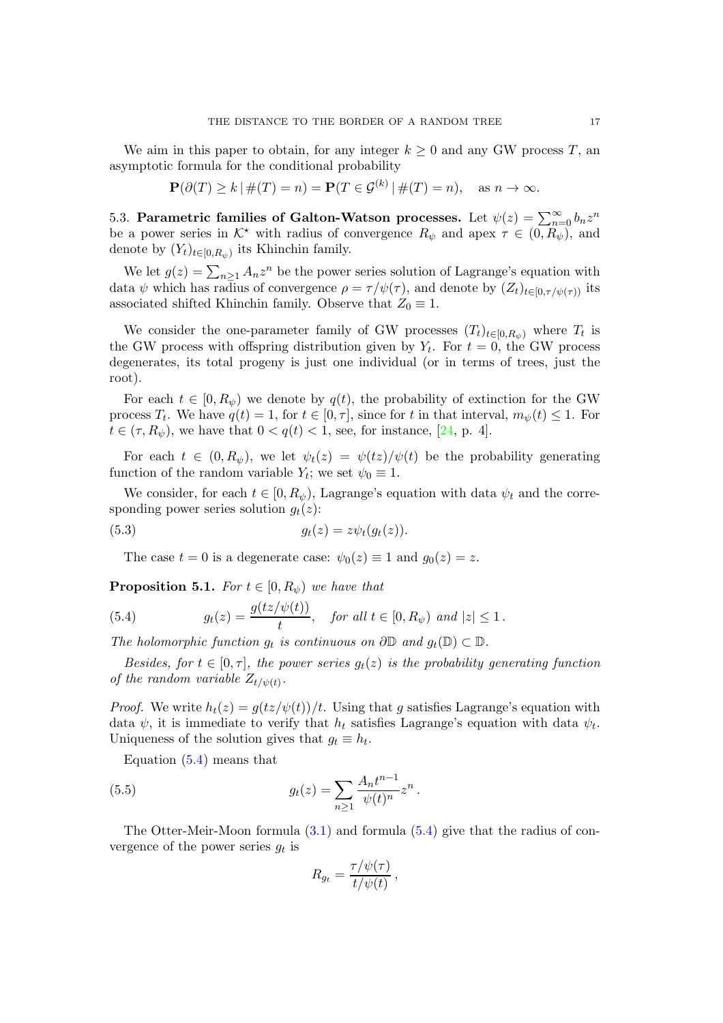We aim in this paper to obtain, for any integer  $k \geq 0$  and any GW process T, an asymptotic formula for the conditional probability

$$
\mathbf{P}(\partial(T) \ge k \mid \#(T) = n) = \mathbf{P}(T \in \mathcal{G}^{(k)} \mid \#(T) = n), \quad \text{as } n \to \infty.
$$

5.3. Parametric families of Galton-Watson processes. Let  $\psi(z) = \sum_{n=0}^{\infty} b_n z^n$ be a power series in  $K^*$  with radius of convergence  $R_{\psi}$  and apex  $\tau \in (0, R_{\psi})$ , and denote by  $(Y_t)_{t \in [0, R_{\psi})}$  its Khinchin family.

We let  $g(z) = \sum_{n \geq 1} A_n z^n$  be the power series solution of Lagrange's equation with data  $\psi$  which has radius of convergence  $\rho = \tau / \psi(\tau)$ , and denote by  $(Z_t)_{t \in [0, \tau/\psi(\tau))}$  its associated shifted Khinchin family. Observe that  $Z_0 \equiv 1$ .

We consider the one-parameter family of GW processes  $(T_t)_{t\in[0,R_{\psi})}$  where  $T_t$  is the GW process with offspring distribution given by  $Y_t$ . For  $t = 0$ , the GW process degenerates, its total progeny is just one individual (or in terms of trees, just the root).

For each  $t \in [0, R_{\psi})$  we denote by  $q(t)$ , the probability of extinction for the GW process  $T_t$ . We have  $q(t) = 1$ , for  $t \in [0, \tau]$ , since for t in that interval,  $m_{\psi}(t) \leq 1$ . For  $t \in (\tau, R_{\psi})$ , we have that  $0 < q(t) < 1$ , see, for instance, [\[24,](#page-28-0) p. 4].

For each  $t \in (0, R_{\psi})$ , we let  $\psi_t(z) = \psi(tz)/\psi(t)$  be the probability generating function of the random variable  $Y_t$ ; we set  $\psi_0 \equiv 1$ .

We consider, for each  $t \in [0, R_{\psi})$ , Lagrange's equation with data  $\psi_t$  and the corresponding power series solution  $g_t(z)$ :

<span id="page-16-1"></span>
$$
(5.3) \t\t\t g_t(z) = z\psi_t(g_t(z)).
$$

The case  $t = 0$  is a degenerate case:  $\psi_0(z) \equiv 1$  and  $g_0(z) = z$ .

**Proposition 5.1.** For  $t \in [0, R_{\psi})$  we have that

<span id="page-16-0"></span>(5.4) 
$$
g_t(z) = \frac{g(tz/\psi(t))}{t}
$$
, for all  $t \in [0, R_{\psi})$  and  $|z| \le 1$ .

The holomorphic function  $g_t$  is continuous on  $\partial \mathbb{D}$  and  $g_t(\mathbb{D}) \subset \mathbb{D}$ .

Besides, for  $t \in [0, \tau]$ , the power series  $g_t(z)$  is the probability generating function of the random variable  $Z_{t/\psi(t)}$ .

*Proof.* We write  $h_t(z) = g(tz/\psi(t))/t$ . Using that g satisfies Lagrange's equation with data  $\psi$ , it is immediate to verify that  $h_t$  satisfies Lagrange's equation with data  $\psi_t$ . Uniqueness of the solution gives that  $g_t \equiv h_t$ .

Equation [\(5.4\)](#page-16-0) means that

(5.5) 
$$
g_t(z) = \sum_{n\geq 1} \frac{A_n t^{n-1}}{\psi(t)^n} z^n.
$$

The Otter-Meir-Moon formula [\(3.1\)](#page-4-1) and formula [\(5.4\)](#page-16-0) give that the radius of convergence of the power series  $g_t$  is

<span id="page-16-2"></span>
$$
R_{g_t} = \frac{\tau/\psi(\tau)}{t/\psi(t)},
$$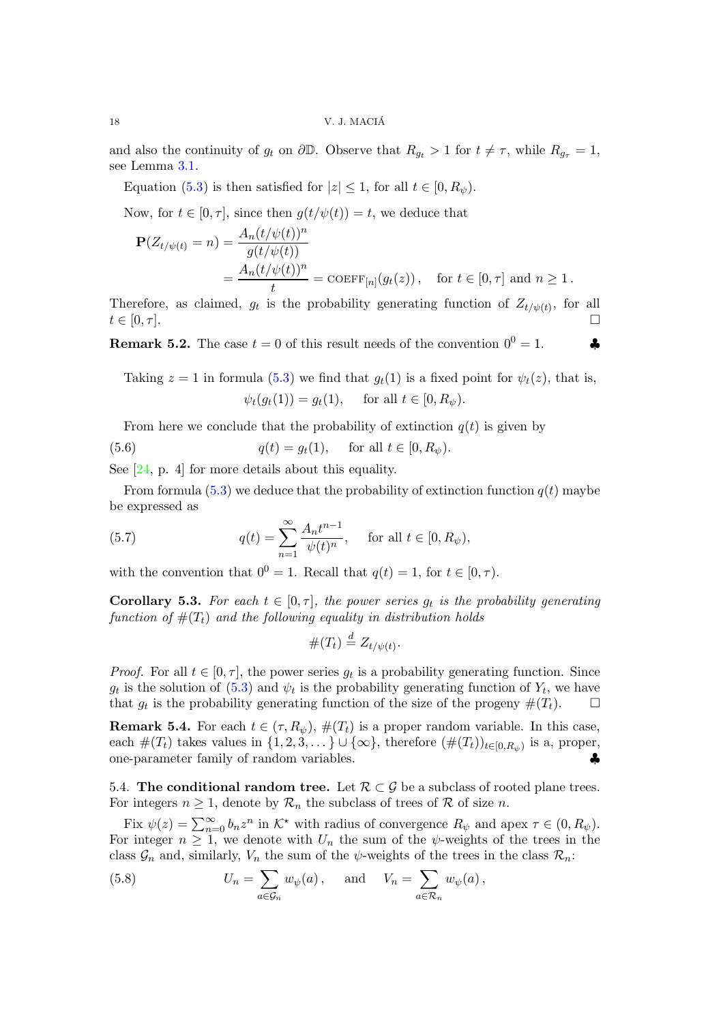and also the continuity of  $g_t$  on  $\partial \mathbb{D}$ . Observe that  $R_{g_t} > 1$  for  $t \neq \tau$ , while  $R_{g_{\tau}} = 1$ , see Lemma [3.1.](#page-4-2)

Equation [\(5.3\)](#page-16-1) is then satisfied for  $|z| \leq 1$ , for all  $t \in [0, R_{\psi})$ .

Now, for  $t \in [0, \tau]$ , since then  $g(t/\psi(t)) = t$ , we deduce that

$$
\mathbf{P}(Z_{t/\psi(t)} = n) = \frac{A_n(t/\psi(t))^n}{g(t/\psi(t))} = \frac{A_n(t/\psi(t))^n}{t} = \text{COEFF}_{[n]}(g_t(z)), \text{ for } t \in [0, \tau] \text{ and } n \ge 1.
$$

Therefore, as claimed,  $g_t$  is the probability generating function of  $Z_{t/\psi(t)}$ , for all  $t \in [0, \tau].$ 

**Remark 5.2.** The case  $t = 0$  of this result needs of the convention  $0^0 = 1$ .

Taking  $z = 1$  in formula [\(5.3\)](#page-16-1) we find that  $g_t(1)$  is a fixed point for  $\psi_t(z)$ , that is,  $\psi_t(g_t(1)) = g_t(1), \text{ for all } t \in [0, R_{\psi}).$ 

From here we conclude that the probability of extinction  $q(t)$  is given by

(5.6) 
$$
q(t) = g_t(1)
$$
, for all  $t \in [0, R_{\psi})$ .

See [\[24,](#page-28-0) p. 4] for more details about this equality.

From formula  $(5.3)$  we deduce that the probability of extinction function  $q(t)$  maybe be expressed as

(5.7) 
$$
q(t) = \sum_{n=1}^{\infty} \frac{A_n t^{n-1}}{\psi(t)^n}, \quad \text{for all } t \in [0, R_{\psi}),
$$

with the convention that  $0^0 = 1$ . Recall that  $q(t) = 1$ , for  $t \in [0, \tau)$ .

**Corollary 5.3.** For each  $t \in [0, \tau]$ , the power series  $g_t$  is the probability generating function of  $#(T_t)$  and the following equality in distribution holds

$$
\#(T_t) \stackrel{d}{=} Z_{t/\psi(t)}.
$$

*Proof.* For all  $t \in [0, \tau]$ , the power series  $g_t$  is a probability generating function. Since  $g_t$  is the solution of  $(5.3)$  and  $\psi_t$  is the probability generating function of  $Y_t$ , we have that  $g_t$  is the probability generating function of the size of the progeny  $\#(T_t)$ .  $\Box$ 

**Remark 5.4.** For each  $t \in (\tau, R_{\psi})$ ,  $\#(T_t)$  is a proper random variable. In this case, each  $\#(T_t)$  takes values in  $\{1, 2, 3, \dots\} \cup \{\infty\}$ , therefore  $(\#(T_t))_{t \in [0, R_{\psi})}$  is a, proper, one-parameter family of random variables. ♣

5.4. The conditional random tree. Let  $\mathcal{R} \subset \mathcal{G}$  be a subclass of rooted plane trees. For integers  $n \geq 1$ , denote by  $\mathcal{R}_n$  the subclass of trees of  $\mathcal R$  of size n.

Fix  $\psi(z) = \sum_{n=0}^{\infty} b_n z^n$  in  $\mathcal{K}^*$  with radius of convergence  $R_{\psi}$  and apex  $\tau \in (0, R_{\psi})$ . For integer  $n \geq 1$ , we denote with  $U_n$  the sum of the  $\psi$ -weights of the trees in the class  $\mathcal{G}_n$  and, similarly,  $V_n$  the sum of the  $\psi$ -weights of the trees in the class  $\mathcal{R}_n$ :

(5.8) 
$$
U_n = \sum_{a \in \mathcal{G}_n} w_{\psi}(a), \quad \text{and} \quad V_n = \sum_{a \in \mathcal{R}_n} w_{\psi}(a),
$$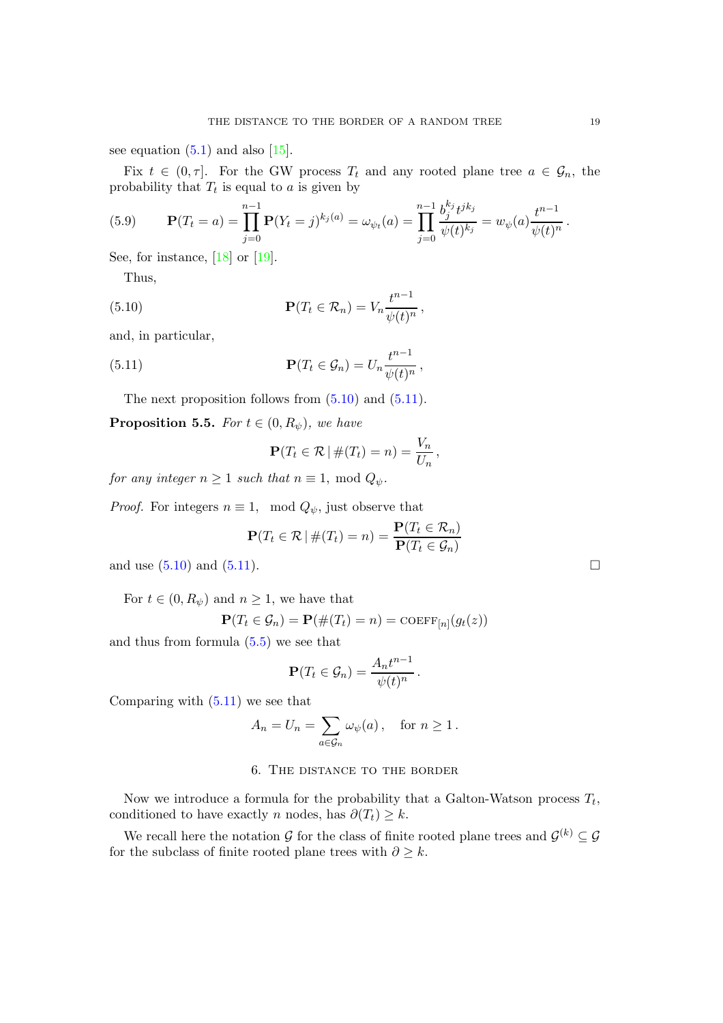see equation  $(5.1)$  and also  $[15]$ .

Fix  $t \in (0, \tau]$ . For the GW process  $T_t$  and any rooted plane tree  $a \in \mathcal{G}_n$ , the probability that  $T_t$  is equal to a is given by

(5.9) 
$$
\mathbf{P}(T_t = a) = \prod_{j=0}^{n-1} \mathbf{P}(Y_t = j)^{k_j(a)} = \omega_{\psi_t}(a) = \prod_{j=0}^{n-1} \frac{b_j^{k_j} t^{j k_j}}{\psi(t)^{k_j}} = w_{\psi}(a) \frac{t^{n-1}}{\psi(t)^n}.
$$

See, for instance,  $[18]$  or  $[19]$ .

Thus,

(5.10) 
$$
\mathbf{P}(T_t \in \mathcal{R}_n) = V_n \frac{t^{n-1}}{\psi(t)^n},
$$

and, in particular,

(5.11) 
$$
\mathbf{P}(T_t \in \mathcal{G}_n) = U_n \frac{t^{n-1}}{\psi(t)^n},
$$

The next proposition follows from  $(5.10)$  and  $(5.11)$ .

<span id="page-18-2"></span>**Proposition 5.5.** For  $t \in (0, R_{\psi})$ , we have

<span id="page-18-1"></span><span id="page-18-0"></span>
$$
\mathbf{P}(T_t \in \mathcal{R} \mid \#(T_t) = n) = \frac{V_n}{U_n},
$$

for any integer  $n \geq 1$  such that  $n \equiv 1$ , mod  $Q_{\psi}$ .

*Proof.* For integers  $n \equiv 1$ , mod  $Q_{\psi}$ , just observe that

$$
\mathbf{P}(T_t \in \mathcal{R} \mid \#(T_t) = n) = \frac{\mathbf{P}(T_t \in \mathcal{R}_n)}{\mathbf{P}(T_t \in \mathcal{G}_n)}
$$

and use  $(5.10)$  and  $(5.11)$ .

For  $t \in (0, R_{\psi})$  and  $n \geq 1$ , we have that

$$
\mathbf{P}(T_t \in \mathcal{G}_n) = \mathbf{P}(\#(T_t) = n) = \mathrm{COEFF}_{[n]}(g_t(z))
$$

and thus from formula  $(5.5)$  we see that

$$
\mathbf{P}(T_t \in \mathcal{G}_n) = \frac{A_n t^{n-1}}{\psi(t)^n}.
$$

Comparing with [\(5.11\)](#page-18-1) we see that

$$
A_n = U_n = \sum_{a \in \mathcal{G}_n} \omega_{\psi}(a) , \quad \text{for } n \ge 1.
$$

# 6. The distance to the border

Now we introduce a formula for the probability that a Galton-Watson process  $T_t$ , conditioned to have exactly *n* nodes, has  $\partial(T_t) \geq k$ .

We recall here the notation G for the class of finite rooted plane trees and  $\mathcal{G}^{(k)} \subseteq \mathcal{G}$ for the subclass of finite rooted plane trees with  $\partial \geq k$ .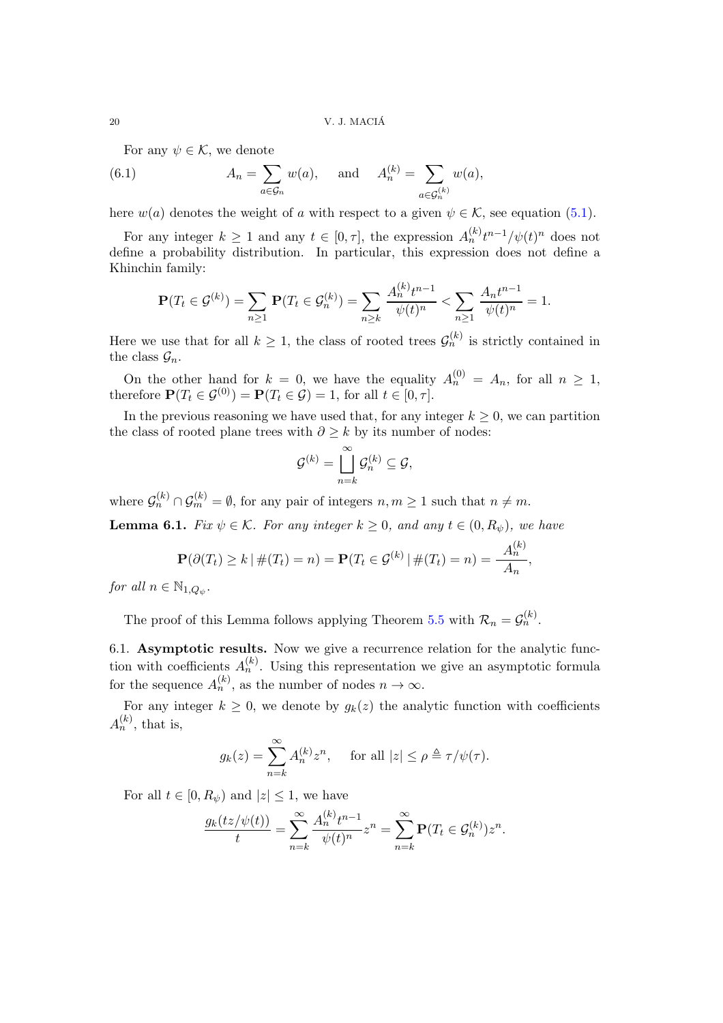For any  $\psi \in \mathcal{K}$ , we denote

(6.1) 
$$
A_n = \sum_{a \in \mathcal{G}_n} w(a), \text{ and } A_n^{(k)} = \sum_{a \in \mathcal{G}_n^{(k)}} w(a),
$$

here  $w(a)$  denotes the weight of a with respect to a given  $\psi \in \mathcal{K}$ , see equation [\(5.1\)](#page-13-0).

For any integer  $k \ge 1$  and any  $t \in [0, \tau]$ , the expression  $A_n^{(k)} t^{n-1}/\psi(t)^n$  does not define a probability distribution. In particular, this expression does not define a Khinchin family:

$$
\mathbf{P}(T_t \in \mathcal{G}^{(k)}) = \sum_{n \ge 1} \mathbf{P}(T_t \in \mathcal{G}_n^{(k)}) = \sum_{n \ge k} \frac{A_n^{(k)} t^{n-1}}{\psi(t)^n} < \sum_{n \ge 1} \frac{A_n t^{n-1}}{\psi(t)^n} = 1.
$$

Here we use that for all  $k \geq 1$ , the class of rooted trees  $\mathcal{G}_n^{(k)}$  is strictly contained in the class  $\mathcal{G}_n$ .

On the other hand for  $k = 0$ , we have the equality  $A_n^{(0)} = A_n$ , for all  $n \ge 1$ , therefore  $\mathbf{P}(T_t \in \mathcal{G}^{(0)}) = \mathbf{P}(T_t \in \mathcal{G}) = 1$ , for all  $t \in [0, \tau]$ .

In the previous reasoning we have used that, for any integer  $k \geq 0$ , we can partition the class of rooted plane trees with  $\partial \geq k$  by its number of nodes:

$$
\mathcal{G}^{(k)} = \bigsqcup_{n=k}^{\infty} \mathcal{G}_n^{(k)} \subseteq \mathcal{G},
$$

where  $\mathcal{G}_n^{(k)} \cap \mathcal{G}_m^{(k)} = \emptyset$ , for any pair of integers  $n, m \geq 1$  such that  $n \neq m$ .

<span id="page-19-0"></span>**Lemma 6.1.** Fix  $\psi \in \mathcal{K}$ . For any integer  $k \geq 0$ , and any  $t \in (0, R_{\psi})$ , we have

$$
\mathbf{P}(\partial(T_t) \ge k \mid \#(T_t) = n) = \mathbf{P}(T_t \in \mathcal{G}^{(k)} \mid \#(T_t) = n) = \frac{A_n^{(k)}}{A_n},
$$

for all  $n \in \mathbb{N}_{1,Q_{\psi}}$ .

The proof of this Lemma follows applying Theorem [5.5](#page-18-2) with  $\mathcal{R}_n = \mathcal{G}_n^{(k)}$ .

6.1. Asymptotic results. Now we give a recurrence relation for the analytic function with coefficients  $A_n^{(k)}$ . Using this representation we give an asymptotic formula for the sequence  $A_n^{(k)}$ , as the number of nodes  $n \to \infty$ .

For any integer  $k \geq 0$ , we denote by  $g_k(z)$  the analytic function with coefficients  $A_n^{(k)}$ , that is,

$$
g_k(z) = \sum_{n=k}^{\infty} A_n^{(k)} z^n, \quad \text{ for all } |z| \le \rho \triangleq \tau/\psi(\tau).
$$

For all  $t \in [0, R_{\psi})$  and  $|z| \leq 1$ , we have

$$
\frac{g_k(tz/\psi(t))}{t} = \sum_{n=k}^{\infty} \frac{A_n^{(k)} t^{n-1}}{\psi(t)^n} z^n = \sum_{n=k}^{\infty} \mathbf{P}(T_t \in \mathcal{G}_n^{(k)}) z^n.
$$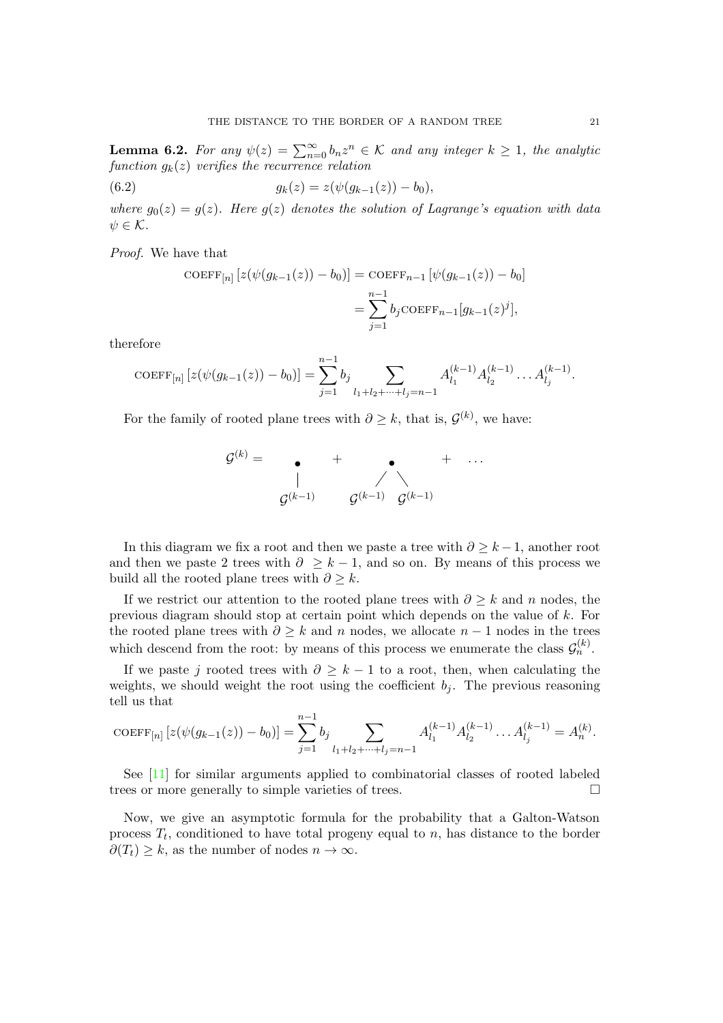**Lemma 6.2.** For any  $\psi(z) = \sum_{n=0}^{\infty} b_n z^n \in \mathcal{K}$  and any integer  $k \geq 1$ , the analytic function  $g_k(z)$  verifies the recurrence relation

(6.2) 
$$
g_k(z) = z(\psi(g_{k-1}(z)) - b_0),
$$

where  $g_0(z) = g(z)$ . Here  $g(z)$  denotes the solution of Lagrange's equation with data  $\psi \in \mathcal{K}$ .

Proof. We have that

COEFF<sub>[n]</sub> 
$$
[z(\psi(g_{k-1}(z)) - b_0)] = \text{COEFF}_{n-1} [\psi(g_{k-1}(z)) - b_0]
$$
  

$$
= \sum_{j=1}^{n-1} b_j \text{COEFF}_{n-1}[g_{k-1}(z)^j],
$$

therefore

COEFF<sub>[n]</sub> 
$$
[z(\psi(g_{k-1}(z)) - b_0)] = \sum_{j=1}^{n-1} b_j \sum_{l_1+l_2+\cdots+l_j=n-1} A_{l_1}^{(k-1)} A_{l_2}^{(k-1)} \dots A_{l_j}^{(k-1)}.
$$

For the family of rooted plane trees with  $\partial \geq k$ , that is,  $\mathcal{G}^{(k)}$ , we have:

G (k) <sup>=</sup> • G (k−1) <sup>+</sup> • G (k−1) <sup>G</sup> (k−1) + . . .

In this diagram we fix a root and then we paste a tree with  $\partial \geq k-1$ , another root and then we paste 2 trees with  $\partial \geq k-1$ , and so on. By means of this process we build all the rooted plane trees with  $\partial > k$ .

If we restrict our attention to the rooted plane trees with  $\partial \geq k$  and n nodes, the previous diagram should stop at certain point which depends on the value of k. For the rooted plane trees with  $\partial \geq k$  and n nodes, we allocate  $n-1$  nodes in the trees which descend from the root: by means of this process we enumerate the class  $\mathcal{G}_n^{(k)}$ .

If we paste j rooted trees with  $\partial \geq k-1$  to a root, then, when calculating the weights, we should weight the root using the coefficient  $b_i$ . The previous reasoning tell us that

COEFF<sub>[n]</sub> 
$$
[z(\psi(g_{k-1}(z)) - b_0)] = \sum_{j=1}^{n-1} b_j \sum_{l_1+l_2+\cdots+l_j=n-1} A_{l_1}^{(k-1)} A_{l_2}^{(k-1)} \dots A_{l_j}^{(k-1)} = A_n^{(k)}.
$$

See [\[11\]](#page-27-10) for similar arguments applied to combinatorial classes of rooted labeled trees or more generally to simple varieties of trees.

Now, we give an asymptotic formula for the probability that a Galton-Watson process  $T_t$ , conditioned to have total progeny equal to n, has distance to the border  $\partial(T_t) \geq k$ , as the number of nodes  $n \to \infty$ .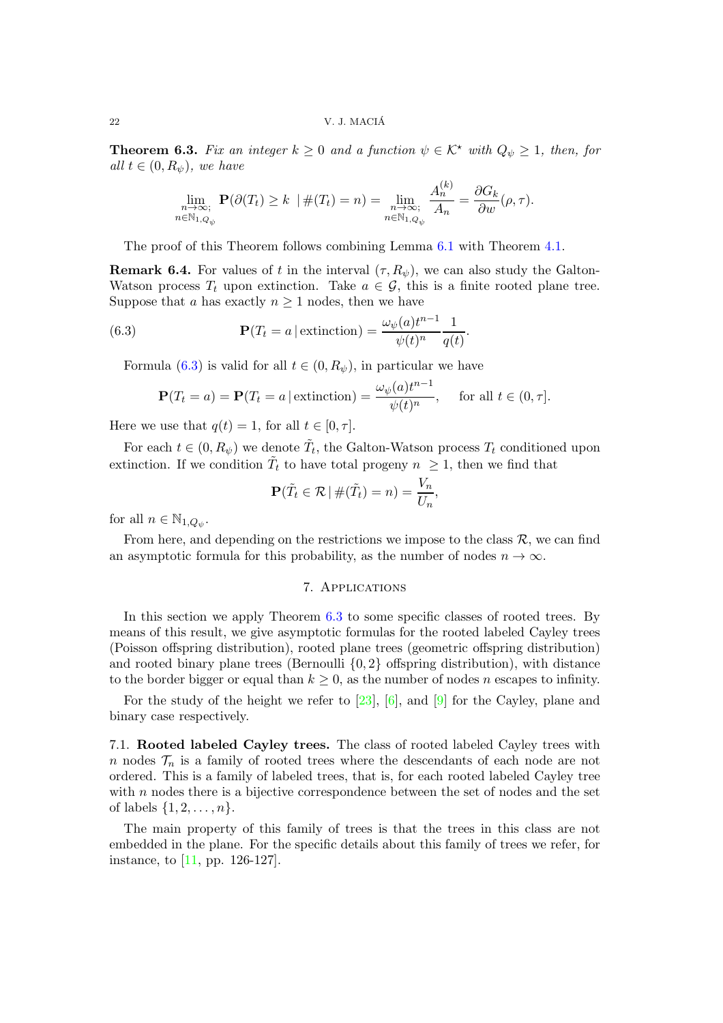<span id="page-21-0"></span>**Theorem 6.3.** Fix an integer  $k \geq 0$  and a function  $\psi \in \mathcal{K}^*$  with  $Q_{\psi} \geq 1$ , then, for all  $t \in (0, R_{\psi})$ , we have

$$
\lim_{\substack{n \to \infty; \\ n \in \mathbb{N}_{1,Q_{\psi}}}} \mathbf{P}(\partial(T_t) \ge k \mid \#(T_t) = n) = \lim_{\substack{n \to \infty; \\ n \in \mathbb{N}_{1,Q_{\psi}}}} \frac{A_n^{(k)}}{A_n} = \frac{\partial G_k}{\partial w}(\rho, \tau).
$$

The proof of this Theorem follows combining Lemma [6.1](#page-19-0) with Theorem [4.1.](#page-8-0)

**Remark 6.4.** For values of t in the interval  $(\tau, R_{\psi})$ , we can also study the Galton-Watson process  $T_t$  upon extinction. Take  $a \in \mathcal{G}$ , this is a finite rooted plane tree. Suppose that a has exactly  $n \geq 1$  nodes, then we have

<span id="page-21-1"></span>(6.3) 
$$
\mathbf{P}(T_t = a \mid \text{extinction}) = \frac{\omega_{\psi}(a)t^{n-1}}{\psi(t)^n} \frac{1}{q(t)}.
$$

Formula [\(6.3\)](#page-21-1) is valid for all  $t \in (0, R_{\psi})$ , in particular we have

$$
\mathbf{P}(T_t = a) = \mathbf{P}(T_t = a \mid \text{extinction}) = \frac{\omega_{\psi}(a)t^{n-1}}{\psi(t)^n}, \quad \text{for all } t \in (0, \tau].
$$

Here we use that  $q(t) = 1$ , for all  $t \in [0, \tau]$ .

For each  $t \in (0, R_{\psi})$  we denote  $\tilde{T}_t$ , the Galton-Watson process  $T_t$  conditioned upon extinction. If we condition  $\tilde{T}_t$  to have total progeny  $n \geq 1$ , then we find that

$$
\mathbf{P}(\tilde{T}_t \in \mathcal{R} \mid \#(\tilde{T}_t) = n) = \frac{V_n}{U_n},
$$

for all  $n \in \mathbb{N}_{1, Q_{\psi}}$ .

From here, and depending on the restrictions we impose to the class  $\mathcal{R}$ , we can find an asymptotic formula for this probability, as the number of nodes  $n \to \infty$ .

# 7. Applications

In this section we apply Theorem [6.3](#page-21-0) to some specific classes of rooted trees. By means of this result, we give asymptotic formulas for the rooted labeled Cayley trees (Poisson offspring distribution), rooted plane trees (geometric offspring distribution) and rooted binary plane trees (Bernoulli  $\{0, 2\}$  offspring distribution), with distance to the border bigger or equal than  $k \geq 0$ , as the number of nodes n escapes to infinity.

For the study of the height we refer to [\[23\]](#page-27-1), [6], and [\[9\]](#page-27-2) for the Cayley, plane and binary case respectively.

7.1. Rooted labeled Cayley trees. The class of rooted labeled Cayley trees with n nodes  $\mathcal{T}_n$  is a family of rooted trees where the descendants of each node are not ordered. This is a family of labeled trees, that is, for each rooted labeled Cayley tree with  $n$  nodes there is a bijective correspondence between the set of nodes and the set of labels  $\{1, 2, ..., n\}$ .

The main property of this family of trees is that the trees in this class are not embedded in the plane. For the specific details about this family of trees we refer, for instance, to [\[11,](#page-27-10) pp. 126-127].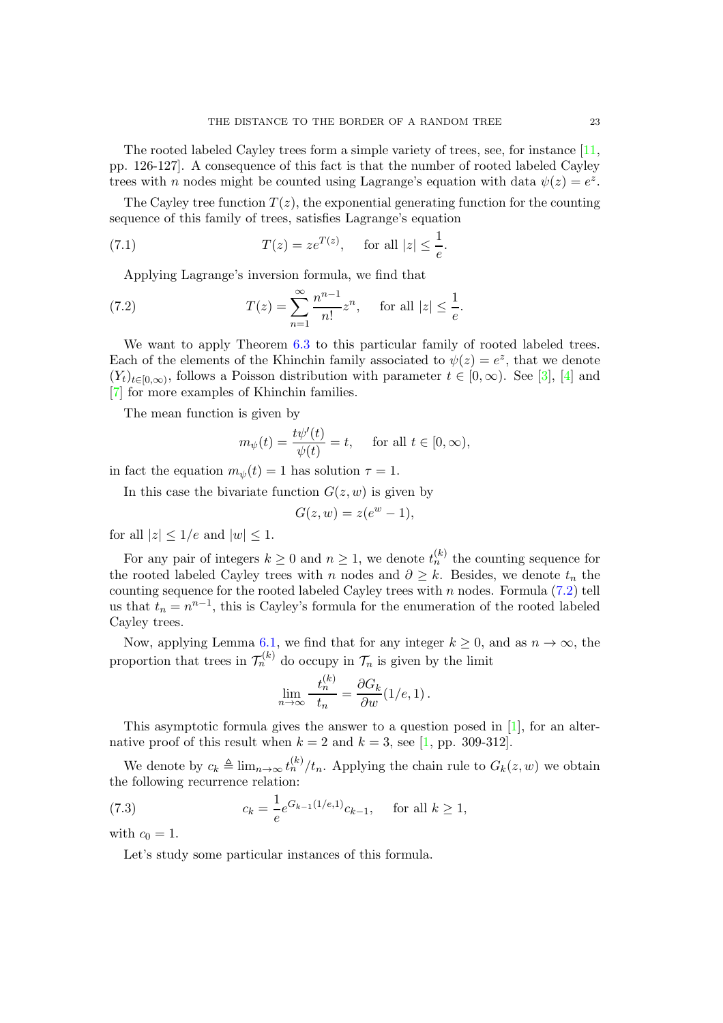The rooted labeled Cayley trees form a simple variety of trees, see, for instance [\[11,](#page-27-10) pp. 126-127]. A consequence of this fact is that the number of rooted labeled Cayley trees with *n* nodes might be counted using Lagrange's equation with data  $\psi(z) = e^z$ .

The Cayley tree function  $T(z)$ , the exponential generating function for the counting sequence of this family of trees, satisfies Lagrange's equation

(7.1) 
$$
T(z) = ze^{T(z)}
$$
, for all  $|z| \leq \frac{1}{e}$ .

Applying Lagrange's inversion formula, we find that

<span id="page-22-0"></span>(7.2) 
$$
T(z) = \sum_{n=1}^{\infty} \frac{n^{n-1}}{n!} z^n, \text{ for all } |z| \leq \frac{1}{e}.
$$

We want to apply Theorem [6.3](#page-21-0) to this particular family of rooted labeled trees. Each of the elements of the Khinchin family associated to  $\psi(z) = e^z$ , that we denote  $(Y_t)_{t\in[0,\infty)}$ , follows a Poisson distribution with parameter  $t\in[0,\infty)$ . See [\[3\]](#page-27-7), [\[4\]](#page-27-8) and [\[7\]](#page-27-9) for more examples of Khinchin families.

The mean function is given by

$$
m_{\psi}(t) = \frac{t\psi'(t)}{\psi(t)} = t
$$
, for all  $t \in [0, \infty)$ ,

in fact the equation  $m_{\psi}(t) = 1$  has solution  $\tau = 1$ .

In this case the bivariate function  $G(z, w)$  is given by

$$
G(z, w) = z(e^w - 1),
$$

for all  $|z| \leq 1/e$  and  $|w| \leq 1$ .

For any pair of integers  $k \geq 0$  and  $n \geq 1$ , we denote  $t_n^{(k)}$  the counting sequence for the rooted labeled Cayley trees with n nodes and  $\partial \geq k$ . Besides, we denote  $t_n$  the counting sequence for the rooted labeled Cayley trees with  $n$  nodes. Formula  $(7.2)$  tell us that  $t_n = n^{n-1}$ , this is Cayley's formula for the enumeration of the rooted labeled Cayley trees.

Now, applying Lemma [6.1,](#page-19-0) we find that for any integer  $k \geq 0$ , and as  $n \to \infty$ , the proportion that trees in  $\mathcal{T}_n^{(k)}$  do occupy in  $\mathcal{T}_n$  is given by the limit

$$
\lim_{n \to \infty} \frac{t_n^{(k)}}{t_n} = \frac{\partial G_k}{\partial w} (1/e, 1).
$$

This asymptotic formula gives the answer to a question posed in [\[1\]](#page-27-0), for an alternative proof of this result when  $k = 2$  and  $k = 3$ , see [\[1,](#page-27-0) pp. 309-312].

We denote by  $c_k \triangleq \lim_{n\to\infty} t_n^{(k)}/t_n$ . Applying the chain rule to  $G_k(z, w)$  we obtain the following recurrence relation:

<span id="page-22-1"></span>(7.3) 
$$
c_k = \frac{1}{e} e^{G_{k-1}(1/e,1)} c_{k-1}, \text{ for all } k \ge 1,
$$

with  $c_0 = 1$ .

Let's study some particular instances of this formula.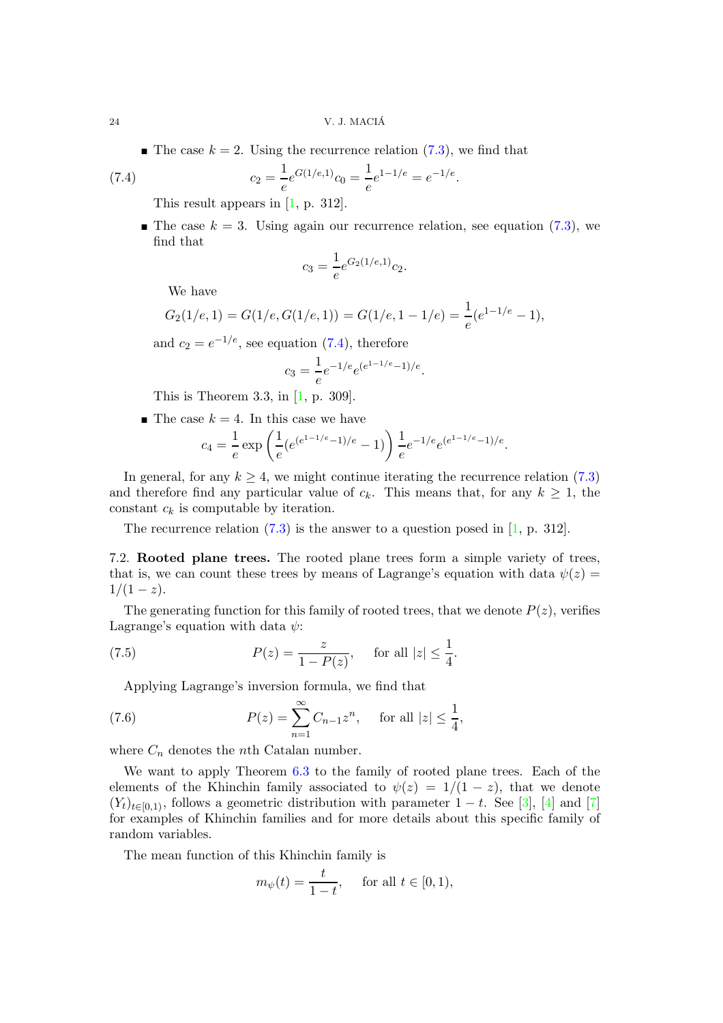$\blacksquare$  The case  $k = 2$ . Using the recurrence relation  $(7.3)$ , we find that

<span id="page-23-0"></span>(7.4) 
$$
c_2 = \frac{1}{e}e^{G(1/e,1)}c_0 = \frac{1}{e}e^{1-1/e} = e^{-1/e}.
$$

This result appears in [\[1,](#page-27-0) p. 312].

 $\blacksquare$  The case  $k = 3$ . Using again our recurrence relation, see equation [\(7.3\)](#page-22-1), we find that

$$
c_3 = \frac{1}{e} e^{G_2(1/e,1)} c_2.
$$

We have

$$
G_2(1/e, 1) = G(1/e, G(1/e, 1)) = G(1/e, 1 - 1/e) = \frac{1}{e}(e^{1-1/e} - 1),
$$

and  $c_2 = e^{-1/e}$ , see equation [\(7.4\)](#page-23-0), therefore

$$
c_3 = \frac{1}{e}e^{-1/e}e^{(e^{1-1/e}-1)/e}.
$$

This is Theorem 3.3, in [\[1,](#page-27-0) p. 309].

 $\blacksquare$  The case  $k = 4$ . In this case we have

$$
c_4 = \frac{1}{e} \exp\left(\frac{1}{e} (e^{(e^{1-1/e}-1)/e} - 1)\right) \frac{1}{e} e^{-1/e} e^{(e^{1-1/e}-1)/e}.
$$

In general, for any  $k \geq 4$ , we might continue iterating the recurrence relation [\(7.3\)](#page-22-1) and therefore find any particular value of  $c_k$ . This means that, for any  $k \geq 1$ , the constant  $c_k$  is computable by iteration.

The recurrence relation [\(7.3\)](#page-22-1) is the answer to a question posed in [\[1,](#page-27-0) p. 312].

7.2. Rooted plane trees. The rooted plane trees form a simple variety of trees, that is, we can count these trees by means of Lagrange's equation with data  $\psi(z)$  $1/(1-z)$ .

The generating function for this family of rooted trees, that we denote  $P(z)$ , verifies Lagrange's equation with data  $\psi$ :

<span id="page-23-2"></span>(7.5) 
$$
P(z) = \frac{z}{1 - P(z)}, \text{ for all } |z| \le \frac{1}{4}.
$$

Applying Lagrange's inversion formula, we find that

<span id="page-23-1"></span>(7.6) 
$$
P(z) = \sum_{n=1}^{\infty} C_{n-1} z^n, \text{ for all } |z| \leq \frac{1}{4},
$$

where  $C_n$  denotes the *n*th Catalan number.

We want to apply Theorem [6.3](#page-21-0) to the family of rooted plane trees. Each of the elements of the Khinchin family associated to  $\psi(z) = 1/(1-z)$ , that we denote  $(Y_t)_{t\in[0,1)}$ , follows a geometric distribution with parameter  $1-t$ . See [\[3\]](#page-27-7), [\[4\]](#page-27-8) and [\[7\]](#page-27-9) for examples of Khinchin families and for more details about this specific family of random variables.

The mean function of this Khinchin family is

$$
m_{\psi}(t) = \frac{t}{1-t}, \quad \text{ for all } t \in [0,1),
$$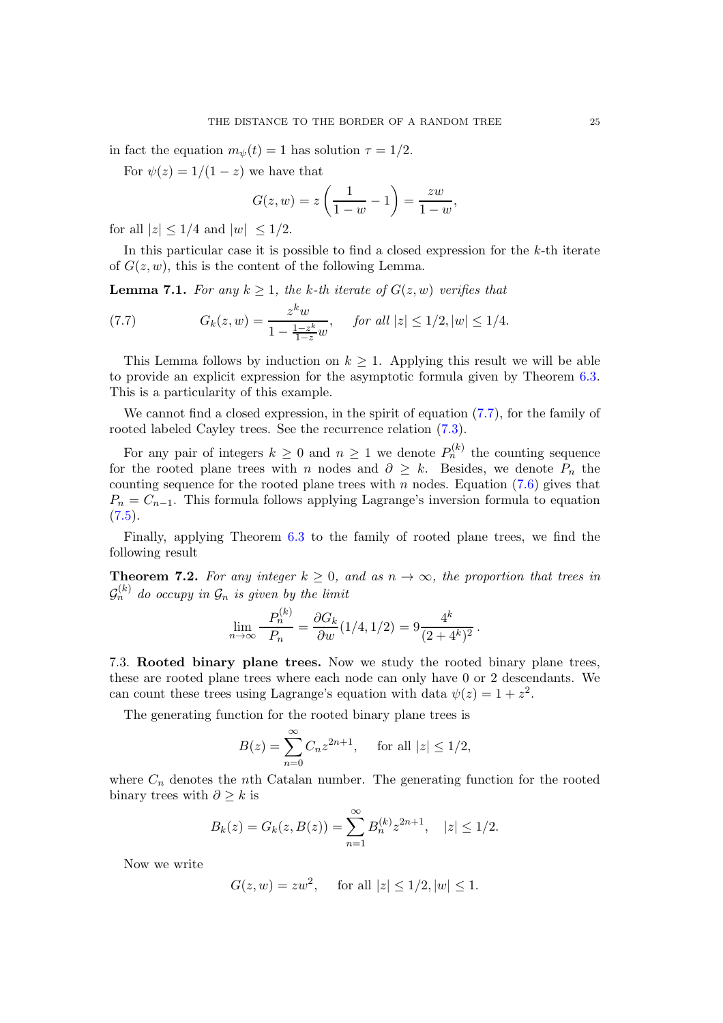in fact the equation  $m_{\psi}(t) = 1$  has solution  $\tau = 1/2$ .

For  $\psi(z) = 1/(1-z)$  we have that

$$
G(z, w) = z \left( \frac{1}{1 - w} - 1 \right) = \frac{zw}{1 - w},
$$

for all  $|z| \leq 1/4$  and  $|w| \leq 1/2$ .

In this particular case it is possible to find a closed expression for the k-th iterate of  $G(z, w)$ , this is the content of the following Lemma.

**Lemma 7.1.** For any  $k \geq 1$ , the k-th iterate of  $G(z, w)$  verifies that

<span id="page-24-0"></span>(7.7) 
$$
G_k(z, w) = \frac{z^k w}{1 - \frac{1 - z^k}{1 - z} w}, \quad \text{for all } |z| \leq 1/2, |w| \leq 1/4.
$$

This Lemma follows by induction on  $k \geq 1$ . Applying this result we will be able to provide an explicit expression for the asymptotic formula given by Theorem [6.3.](#page-21-0) This is a particularity of this example.

We cannot find a closed expression, in the spirit of equation [\(7.7\)](#page-24-0), for the family of rooted labeled Cayley trees. See the recurrence relation [\(7.3\)](#page-22-1).

For any pair of integers  $k \geq 0$  and  $n \geq 1$  we denote  $P_n^{(k)}$  the counting sequence for the rooted plane trees with n nodes and  $\partial \geq k$ . Besides, we denote  $P_n$  the counting sequence for the rooted plane trees with n nodes. Equation  $(7.6)$  gives that  $P_n = C_{n-1}$ . This formula follows applying Lagrange's inversion formula to equation  $(7.5).$  $(7.5).$ 

Finally, applying Theorem [6.3](#page-21-0) to the family of rooted plane trees, we find the following result

**Theorem 7.2.** For any integer  $k \geq 0$ , and as  $n \to \infty$ , the proportion that trees in  $\mathcal{G}_n^{(k)}$  do occupy in  $\mathcal{G}_n$  is given by the limit

$$
\lim_{n \to \infty} \frac{P_n^{(k)}}{P_n} = \frac{\partial G_k}{\partial w} (1/4, 1/2) = 9 \frac{4^k}{(2+4^k)^2}.
$$

7.3. Rooted binary plane trees. Now we study the rooted binary plane trees, these are rooted plane trees where each node can only have 0 or 2 descendants. We can count these trees using Lagrange's equation with data  $\psi(z) = 1 + z^2$ .

The generating function for the rooted binary plane trees is

$$
B(z) = \sum_{n=0}^{\infty} C_n z^{2n+1}, \quad \text{ for all } |z| \le 1/2,
$$

where  $C_n$  denotes the nth Catalan number. The generating function for the rooted binary trees with  $\partial \geq k$  is

$$
B_k(z) = G_k(z, B(z)) = \sum_{n=1}^{\infty} B_n^{(k)} z^{2n+1}, \quad |z| \le 1/2.
$$

Now we write

$$
G(z, w) = zw^2
$$
, for all  $|z| \le 1/2, |w| \le 1$ .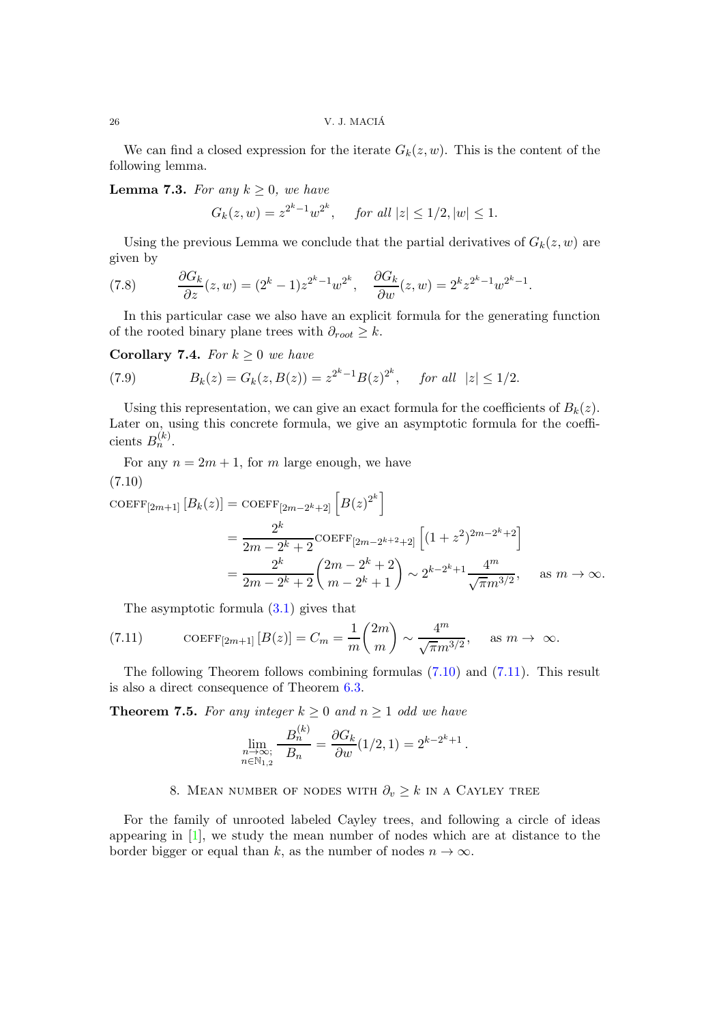We can find a closed expression for the iterate  $G_k(z, w)$ . This is the content of the following lemma.

**Lemma 7.3.** For any  $k \geq 0$ , we have

$$
G_k(z, w) = z^{2^k - 1} w^{2^k}, \quad \text{ for all } |z| \le 1/2, |w| \le 1.
$$

Using the previous Lemma we conclude that the partial derivatives of  $G_k(z, w)$  are given by

(7.8) 
$$
\frac{\partial G_k}{\partial z}(z,w) = (2^k - 1)z^{2^k - 1}w^{2^k}, \quad \frac{\partial G_k}{\partial w}(z,w) = 2^k z^{2^k - 1}w^{2^k - 1}.
$$

In this particular case we also have an explicit formula for the generating function of the rooted binary plane trees with  $\partial_{root} \geq k$ .

Corollary 7.4. For  $k \geq 0$  we have

(7.9) 
$$
B_k(z) = G_k(z, B(z)) = z^{2^k - 1} B(z)^{2^k}, \text{ for all } |z| \leq 1/2.
$$

Using this representation, we can give an exact formula for the coefficients of  $B_k(z)$ . Later on, using this concrete formula, we give an asymptotic formula for the coefficients  $B_n^{(k)}$ .

<span id="page-25-0"></span>For any  $n = 2m + 1$ , for m large enough, we have (7.10)

$$
\begin{split} \text{COEFF}_{[2m+1]} \left[ B_k(z) \right] &= \text{COEFF}_{[2m-2^k+2]} \left[ B(z)^{2^k} \right] \\ &= \frac{2^k}{2m - 2^k + 2} \text{COEFF}_{[2m-2^{k+2}+2]} \left[ (1 + z^2)^{2m - 2^k + 2} \right] \\ &= \frac{2^k}{2m - 2^k + 2} \binom{2m - 2^k + 2}{m - 2^k + 1} \sim 2^{k - 2^k + 1} \frac{4^m}{\sqrt{\pi m^{3/2}}}, \quad \text{as } m \to \infty. \end{split}
$$

The asymptotic formula [\(3.1\)](#page-4-1) gives that

<span id="page-25-1"></span>(7.11) 
$$
\text{COEFF}_{[2m+1]} [B(z)] = C_m = \frac{1}{m} {2m \choose m} \sim \frac{4^m}{\sqrt{\pi} m^{3/2}}, \text{ as } m \to \infty.
$$

The following Theorem follows combining formulas [\(7.10\)](#page-25-0) and [\(7.11\)](#page-25-1). This result is also a direct consequence of Theorem [6.3.](#page-21-0)

**Theorem 7.5.** For any integer  $k \geq 0$  and  $n \geq 1$  odd we have

$$
\lim_{\substack{n \to \infty; \\ n \in \mathbb{N}_{1,2}}} \frac{B_n^{(k)}}{B_n} = \frac{\partial G_k}{\partial w} (1/2, 1) = 2^{k-2^k+1}.
$$

# 8. MEAN NUMBER OF NODES WITH  $\partial_v \geq k$  in a CAYLEY TREE

For the family of unrooted labeled Cayley trees, and following a circle of ideas appearing in [\[1\]](#page-27-0), we study the mean number of nodes which are at distance to the border bigger or equal than k, as the number of nodes  $n \to \infty$ .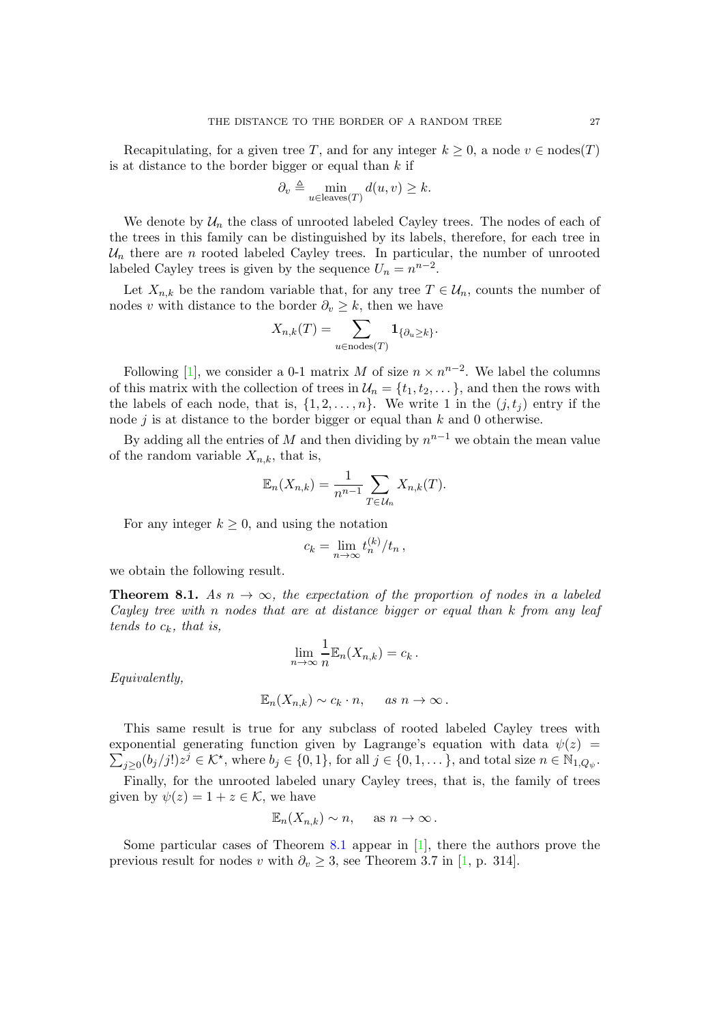Recapitulating, for a given tree T, and for any integer  $k \geq 0$ , a node  $v \in \text{nodes}(T)$ is at distance to the border bigger or equal than  $k$  if

$$
\partial_v \triangleq \min_{u \in \text{leaves}(T)} d(u, v) \geq k.
$$

We denote by  $\mathcal{U}_n$  the class of unrooted labeled Cayley trees. The nodes of each of the trees in this family can be distinguished by its labels, therefore, for each tree in  $\mathcal{U}_n$  there are n rooted labeled Cayley trees. In particular, the number of unrooted labeled Cayley trees is given by the sequence  $U_n = n^{n-2}$ .

Let  $X_{n,k}$  be the random variable that, for any tree  $T \in \mathcal{U}_n$ , counts the number of nodes v with distance to the border  $\partial_v \geq k$ , then we have

$$
X_{n,k}(T) = \sum_{u \in \text{nodes}(T)} \mathbf{1}_{\{\partial_u \ge k\}}.
$$

Following [\[1\]](#page-27-0), we consider a 0-1 matrix M of size  $n \times n^{n-2}$ . We label the columns of this matrix with the collection of trees in  $\mathcal{U}_n = \{t_1, t_2, \dots\}$ , and then the rows with the labels of each node, that is,  $\{1, 2, \ldots, n\}$ . We write 1 in the  $(j, t_i)$  entry if the node  $j$  is at distance to the border bigger or equal than  $k$  and 0 otherwise.

By adding all the entries of M and then dividing by  $n^{n-1}$  we obtain the mean value of the random variable  $X_{n,k}$ , that is,

$$
\mathbb{E}_n(X_{n,k}) = \frac{1}{n^{n-1}} \sum_{T \in \mathcal{U}_n} X_{n,k}(T).
$$

For any integer  $k \geq 0$ , and using the notation

$$
c_k = \lim_{n \to \infty} t_n^{(k)} / t_n \,,
$$

we obtain the following result.

<span id="page-26-0"></span>**Theorem 8.1.** As  $n \to \infty$ , the expectation of the proportion of nodes in a labeled Cayley tree with n nodes that are at distance bigger or equal than k from any leaf tends to  $c_k$ , that is,

$$
\lim_{n \to \infty} \frac{1}{n} \mathbb{E}_n(X_{n,k}) = c_k.
$$

Equivalently,

$$
\mathbb{E}_n(X_{n,k}) \sim c_k \cdot n, \quad \text{as } n \to \infty.
$$

This same result is true for any subclass of rooted labeled Cayley trees with  $\sum_{j\geq 0} (b_j/j!)z^j \in \mathcal{K}^{\star}$ , where  $b_j \in \{0,1\}$ , for all  $j \in \{0,1,\dots\}$ , and total size  $n \in \mathbb{N}_{1,Q_{\psi}}$ . exponential generating function given by Lagrange's equation with data  $\psi(z)$  =

Finally, for the unrooted labeled unary Cayley trees, that is, the family of trees given by  $\psi(z) = 1 + z \in \mathcal{K}$ , we have

$$
\mathbb{E}_n(X_{n,k}) \sim n, \quad \text{ as } n \to \infty.
$$

Some particular cases of Theorem [8.1](#page-26-0) appear in [\[1\]](#page-27-0), there the authors prove the previous result for nodes v with  $\partial_v \geq 3$ , see Theorem 3.7 in [\[1,](#page-27-0) p. 314].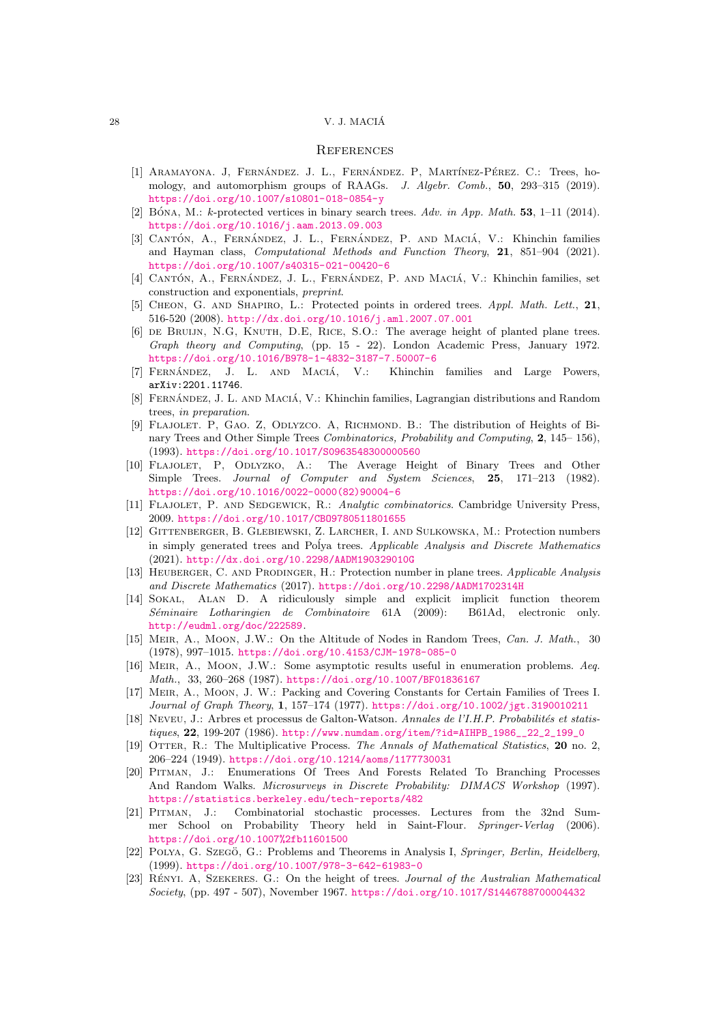#### 28 V. J. MACIA´

### **REFERENCES**

- <span id="page-27-0"></span>[1] ARAMAYONA. J, FERNÁNDEZ. J. L., FERNÁNDEZ. P, MARTÍNEZ-PÉREZ. C.: Trees, homology, and automorphism groups of RAAGs. *J. Algebr. Comb.*, 50, 293–315 (2019). <https://doi.org/10.1007/s10801-018-0854-y>
- <span id="page-27-4"></span>[2] BÓNA, M.: k-protected vertices in binary search trees. Adv. in App. Math. **53**, 1-11 (2014). <https://doi.org/10.1016/j.aam.2013.09.003>
- <span id="page-27-7"></span>[3] CANTÓN, A., FERNÁNDEZ, J. L., FERNÁNDEZ, P. AND MACIÁ, V.: Khinchin families and Hayman class, *Computational Methods and Function Theory*, 21, 851–904 (2021). <https://doi.org/10.1007/s40315-021-00420-6>
- <span id="page-27-8"></span>[4] CANTÓN, A., FERNÁNDEZ, J. L., FERNÁNDEZ, P. AND MACIÁ, V.: Khinchin families, set construction and exponentials, *preprint*.
- <span id="page-27-5"></span>[5] Cheon, G. and Shapiro, L.: Protected points in ordered trees. *Appl. Math. Lett.*, 21, 516-520 (2008). <http://dx.doi.org/10.1016/j.aml.2007.07.001>
- [6] de Bruijn, N.G, Knuth, D.E, Rice, S.O.: The average height of planted plane trees. *Graph theory and Computing*, (pp. 15 - 22). London Academic Press, January 1972. <https://doi.org/10.1016/B978-1-4832-3187-7.50007-6>
- <span id="page-27-9"></span>[7] FERNÁNDEZ, J. L. AND MACIÁ, V.: Khinchin families and Large Powers, arXiv:2201.11746.
- [8] FERNÁNDEZ, J. L. AND MACIÁ, V.: Khinchin families, Lagrangian distributions and Random trees, *in preparation*.
- <span id="page-27-2"></span>[9] FLAJOLET. P, GAO. Z, ODLYZCO. A, RICHMOND. B.: The distribution of Heights of Binary Trees and Other Simple Trees *Combinatorics, Probability and Computing*, 2, 145– 156), (1993). <https://doi.org/10.1017/S0963548300000560>
- [10] Flajolet, P, Odlyzko, A.: The Average Height of Binary Trees and Other Simple Trees. *Journal of Computer and System Sciences*, 25, 171–213 (1982). [https://doi.org/10.1016/0022-0000\(82\)90004-6](https://doi.org/10.1016/0022-0000(82)90004-6)
- <span id="page-27-10"></span>[11] Flajolet, P. and Sedgewick, R.: *Analytic combinatorics*. Cambridge University Press, 2009. <https://doi.org/10.1017/CBO9780511801655>
- <span id="page-27-3"></span>[12] Gittenberger, B. Glebiewski, Z. Larcher, I. and Sulkowska, M.: Protection numbers in simply generated trees and Polya trees. *Applicable Analysis and Discrete Mathematics* (2021). <http://dx.doi.org/10.2298/AADM190329010G>
- <span id="page-27-6"></span>[13] Heuberger, C. and Prodinger, H.: Protection number in plane trees. *Applicable Analysis and Discrete Mathematics* (2017). <https://doi.org/10.2298/AADM1702314H>
- <span id="page-27-16"></span>[14] Sokal, Alan D. A ridiculously simple and explicit implicit function theorem *S´eminaire Lotharingien de Combinatoire* 61A (2009): B61Ad, electronic only. <http://eudml.org/doc/222589>.
- <span id="page-27-13"></span>[15] Meir, A., Moon, J.W.: On the Altitude of Nodes in Random Trees, *Can. J. Math.*, 30 (1978), 997–1015. <https://doi.org/10.4153/CJM-1978-085-0>
- <span id="page-27-14"></span>[16] Meir, A., Moon, J.W.: Some asymptotic results useful in enumeration problems. *Aeq. Math.*, 33, 260–268 (1987). <https://doi.org/10.1007/BF01836167>
- <span id="page-27-11"></span>[17] Meir, A., Moon, J. W.: Packing and Covering Constants for Certain Families of Trees I. *Journal of Graph Theory*, 1, 157–174 (1977). <https://doi.org/10.1002/jgt.3190010211>
- <span id="page-27-17"></span>[18] Neveu, J.: Arbres et processus de Galton-Watson. *Annales de l'I.H.P. Probabilités et statistiques*, 22, 199-207 (1986). [http://www.numdam.org/item/?id=AIHPB\\_1986\\_\\_22\\_2\\_199\\_0](http://www.numdam.org/item/?id=AIHPB_1986__22_2_199_0)
- <span id="page-27-15"></span>[19] Otter, R.: The Multiplicative Process. *The Annals of Mathematical Statistics*, 20 no. 2, 206–224 (1949). <https://doi.org/10.1214/aoms/1177730031>
- <span id="page-27-18"></span>[20] Pitman, J.: Enumerations Of Trees And Forests Related To Branching Processes And Random Walks. *Microsurveys in Discrete Probability: DIMACS Workshop* (1997). <https://statistics.berkeley.edu/tech-reports/482>
- [21] Pitman, J.: Combinatorial stochastic processes. Lectures from the 32nd Summer School on Probability Theory held in Saint-Flour. *Springer-Verlag* (2006). <https://doi.org/10.1007%2fb11601500>
- <span id="page-27-12"></span>[22] POLYA, G. SZEGÖ, G.: Problems and Theorems in Analysis I, *Springer, Berlin, Heidelberg*, (1999). <https://doi.org/10.1007/978-3-642-61983-0>
- <span id="page-27-1"></span>[23] RÉNYI. A, SZEKERES. G.: On the height of trees. *Journal of the Australian Mathematical Society*, (pp. 497 - 507), November 1967. <https://doi.org/10.1017/S1446788700004432>